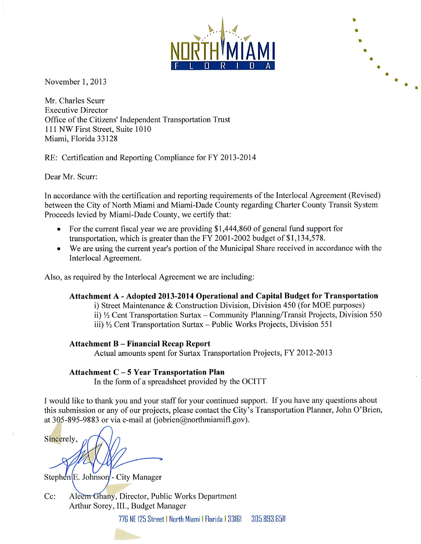November 1, 2013

Mr. Charles Scurr **Executive Director** Office of the Citizens' Independent Transportation Trust 111 NW First Street, Suite 1010 Miami, Florida 33128

RE: Certification and Reporting Compliance for FY 2013-2014

Dear Mr. Scurr:

In accordance with the certification and reporting requirements of the Interlocal Agreement (Revised) between the City of North Miami and Miami-Dade County regarding Charter County Transit System Proceeds levied by Miami-Dade County, we certify that:

- For the current fiscal year we are providing \$1,444,860 of general fund support for transportation, which is greater than the FY 2001-2002 budget of \$1,134,578.
- We are using the current year's portion of the Municipal Share received in accordance with the Interlocal Agreement.

Also, as required by the Interlocal Agreement we are including:

### Attachment A - Adopted 2013-2014 Operational and Capital Budget for Transportation

i) Street Maintenance & Construction Division, Division 450 (for MOE purposes) ii) 1/2 Cent Transportation Surtax - Community Planning/Transit Projects, Division 550 iii) 1/2 Cent Transportation Surtax - Public Works Projects, Division 551

### **Attachment B - Financial Recap Report**

Actual amounts spent for Surtax Transportation Projects, FY 2012-2013

### **Attachment C-5 Year Transportation Plan**

In the form of a spreadsheet provided by the OCITT

I would like to thank you and your staff for your continued support. If you have any questions about this submission or any of our projects, please contact the City's Transportation Planner, John O'Brien, at 305-895-9883 or via e-mail at (jobrien@northmiamifl.gov).

Sincerely,

Stephen<sup>[E.</sup> Johnson<sup>*]*</sup>- City Manager

Aleem Ghany, Director, Public Works Department  $Cc$ : Arthur Sorey, III., Budget Manager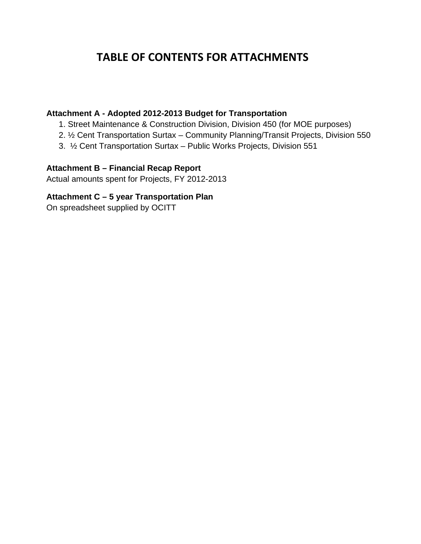# **TABLE OF CONTENTS FOR ATTACHMENTS**

### **Attachment A - Adopted 2012-2013 Budget for Transportation**

- 1. Street Maintenance & Construction Division, Division 450 (for MOE purposes)
- 2. ½ Cent Transportation Surtax Community Planning/Transit Projects, Division 550
- 3. ½ Cent Transportation Surtax Public Works Projects, Division 551

# **Attachment B – Financial Recap Report**

Actual amounts spent for Projects, FY 2012-2013

### **Attachment C – 5 year Transportation Plan**

On spreadsheet supplied by OCITT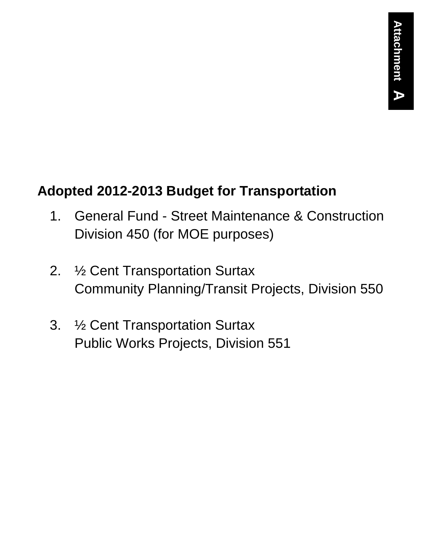# **Adopted 2012-2013 Budget for Transportation**

- 1. General Fund Street Maintenance & Construction Division 450 (for MOE purposes)
- 2. ½ Cent Transportation Surtax Community Planning/Transit Projects, Division 550
- 3. ½ Cent Transportation Surtax Public Works Projects, Division 551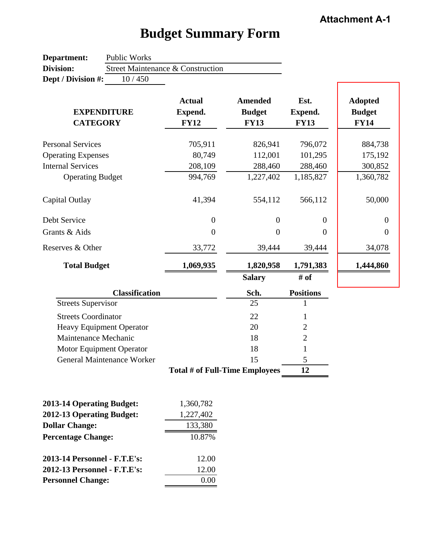| Department:                                            | Public Works                    |                                   |                                                |                    |                                                |
|--------------------------------------------------------|---------------------------------|-----------------------------------|------------------------------------------------|--------------------|------------------------------------------------|
| <b>Division:</b>                                       |                                 | Street Maintenance & Construction |                                                |                    |                                                |
| Dept / Division #:                                     | 10/450                          |                                   |                                                |                    |                                                |
|                                                        | <b>EXPENDITURE</b>              | <b>Actual</b><br>Expend.          | <b>Amended</b><br><b>Budget</b><br><b>FY13</b> | Est.<br>Expend.    | <b>Adopted</b><br><b>Budget</b><br><b>FY14</b> |
| <b>CATEGORY</b>                                        |                                 | <b>FY12</b>                       |                                                | <b>FY13</b>        |                                                |
| <b>Personal Services</b><br><b>Operating Expenses</b>  |                                 | 705,911<br>80,749                 | 826,941<br>112,001                             | 796,072<br>101,295 | 884,738<br>175,192                             |
| <b>Internal Services</b>                               |                                 | 208,109                           | 288,460                                        | 288,460            | 300,852                                        |
| <b>Operating Budget</b>                                |                                 | 994,769                           | 1,227,402                                      | 1,185,827          | 1,360,782                                      |
| Capital Outlay                                         |                                 | 41,394                            | 554,112                                        | 566,112            | 50,000                                         |
| Debt Service                                           |                                 | $\overline{0}$                    | $\overline{0}$                                 | $\overline{0}$     | $\boldsymbol{0}$                               |
| Grants & Aids                                          |                                 | $\boldsymbol{0}$                  | $\boldsymbol{0}$                               | $\overline{0}$     | $\boldsymbol{0}$                               |
| Reserves & Other                                       |                                 | 33,772                            | 39,444                                         | 39,444             | 34,078                                         |
| <b>Total Budget</b>                                    |                                 | 1,069,935                         | 1,820,958                                      | 1,791,383          | 1,444,860                                      |
|                                                        |                                 |                                   | <b>Salary</b>                                  | # of               |                                                |
|                                                        | <b>Classification</b>           |                                   | Sch.                                           | <b>Positions</b>   |                                                |
| <b>Streets Supervisor</b>                              |                                 |                                   | 25                                             |                    |                                                |
| <b>Streets Coordinator</b>                             |                                 |                                   | 22                                             | 1                  |                                                |
|                                                        | <b>Heavy Equipment Operator</b> |                                   | 20                                             | $\overline{2}$     |                                                |
| Maintenance Mechanic                                   |                                 |                                   | 18                                             | $\overline{2}$     |                                                |
|                                                        | Motor Equipment Operator        |                                   | 18                                             | 1                  |                                                |
|                                                        | General Maintenance Worker      |                                   | 15                                             | 5                  |                                                |
|                                                        |                                 | Total # of Full-Time Employees    |                                                | 12                 |                                                |
|                                                        |                                 |                                   |                                                |                    |                                                |
| 2013-14 Operating Budget:<br>2012-13 Operating Budget: |                                 | 1,360,782                         |                                                |                    |                                                |
| <b>Dollar Change:</b>                                  |                                 | 1,227,402<br>133,380              |                                                |                    |                                                |
|                                                        |                                 |                                   |                                                |                    |                                                |
| <b>Percentage Change:</b>                              |                                 | 10.87%                            |                                                |                    |                                                |

# **Budget Summary Form**

| 2013-14 Operating Budget:    | 1,360,782 |
|------------------------------|-----------|
| 2012-13 Operating Budget:    | 1,227,402 |
| <b>Dollar Change:</b>        | 133,380   |
| <b>Percentage Change:</b>    | 10.87%    |
| 2013-14 Personnel - F.T.E's: | 12.00     |
| 2012-13 Personnel - F.T.E's: | 12.00     |
| <b>Personnel Change:</b>     |           |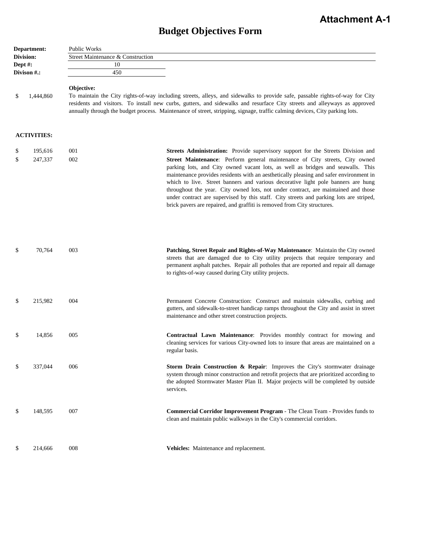# **Budget Objectives Form**

| Department: |                    | Public Works                                                                                                                                                                                                                                                                                                                                                                                           |                                                                                                                                                                                                                                                                                                                                                                                                                                                                                                                                                                                                           |  |
|-------------|--------------------|--------------------------------------------------------------------------------------------------------------------------------------------------------------------------------------------------------------------------------------------------------------------------------------------------------------------------------------------------------------------------------------------------------|-----------------------------------------------------------------------------------------------------------------------------------------------------------------------------------------------------------------------------------------------------------------------------------------------------------------------------------------------------------------------------------------------------------------------------------------------------------------------------------------------------------------------------------------------------------------------------------------------------------|--|
|             | Division:          | Street Maintenance & Construction                                                                                                                                                                                                                                                                                                                                                                      |                                                                                                                                                                                                                                                                                                                                                                                                                                                                                                                                                                                                           |  |
| Dept #:     |                    | 10                                                                                                                                                                                                                                                                                                                                                                                                     |                                                                                                                                                                                                                                                                                                                                                                                                                                                                                                                                                                                                           |  |
|             | Divison #.:        | 450                                                                                                                                                                                                                                                                                                                                                                                                    |                                                                                                                                                                                                                                                                                                                                                                                                                                                                                                                                                                                                           |  |
| \$          | 1,444,860          | Objective:<br>To maintain the City rights-of-way including streets, alleys, and sidewalks to provide safe, passable rights-of-way for City<br>residents and visitors. To install new curbs, gutters, and sidewalks and resurface City streets and alleyways as approved<br>annually through the budget process. Maintenance of street, stripping, signage, traffic calming devices, City parking lots. |                                                                                                                                                                                                                                                                                                                                                                                                                                                                                                                                                                                                           |  |
|             | <b>ACTIVITIES:</b> |                                                                                                                                                                                                                                                                                                                                                                                                        |                                                                                                                                                                                                                                                                                                                                                                                                                                                                                                                                                                                                           |  |
| \$          | 195,616            | 001                                                                                                                                                                                                                                                                                                                                                                                                    | <b>Streets Administration:</b> Provide supervisory support for the Streets Division and                                                                                                                                                                                                                                                                                                                                                                                                                                                                                                                   |  |
| \$          | 247,337            | 002                                                                                                                                                                                                                                                                                                                                                                                                    | Street Maintenance: Perform general maintenance of City streets, City owned<br>parking lots, and City owned vacant lots, as well as bridges and seawalls. This<br>maintenance provides residents with an aesthetically pleasing and safer environment in<br>which to live. Street banners and various decorative light pole banners are hung<br>throughout the year. City owned lots, not under contract, are maintained and those<br>under contract are supervised by this staff. City streets and parking lots are striped,<br>brick pavers are repaired, and graffiti is removed from City structures. |  |
| \$          | 70,764             | 003                                                                                                                                                                                                                                                                                                                                                                                                    | Patching, Street Repair and Rights-of-Way Maintenance: Maintain the City owned<br>streets that are damaged due to City utility projects that require temporary and<br>permanent asphalt patches. Repair all potholes that are reported and repair all damage<br>to rights-of-way caused during City utility projects.                                                                                                                                                                                                                                                                                     |  |
| \$          | 215,982            | 004                                                                                                                                                                                                                                                                                                                                                                                                    | Permanent Concrete Construction: Construct and maintain sidewalks, curbing and<br>gutters, and sidewalk-to-street handicap ramps throughout the City and assist in street<br>maintenance and other street construction projects.                                                                                                                                                                                                                                                                                                                                                                          |  |
| \$          | 14,856             | 005                                                                                                                                                                                                                                                                                                                                                                                                    | <b>Contractual Lawn Maintenance:</b> Provides monthly contract for mowing and<br>cleaning services for various City-owned lots to insure that areas are maintained on a<br>regular basis.                                                                                                                                                                                                                                                                                                                                                                                                                 |  |
| \$          | 337,044            | 006                                                                                                                                                                                                                                                                                                                                                                                                    | <b>Storm Drain Construction &amp; Repair:</b> Improves the City's stormwater drainage<br>system through minor construction and retrofit projects that are prioritized according to<br>the adopted Stormwater Master Plan II. Major projects will be completed by outside<br>services.                                                                                                                                                                                                                                                                                                                     |  |
| \$          | 148,595            | 007                                                                                                                                                                                                                                                                                                                                                                                                    | <b>Commercial Corridor Improvement Program - The Clean Team - Provides funds to</b><br>clean and maintain public walkways in the City's commercial corridors.                                                                                                                                                                                                                                                                                                                                                                                                                                             |  |
| \$          | 214,666            | 008                                                                                                                                                                                                                                                                                                                                                                                                    | Vehicles: Maintenance and replacement.                                                                                                                                                                                                                                                                                                                                                                                                                                                                                                                                                                    |  |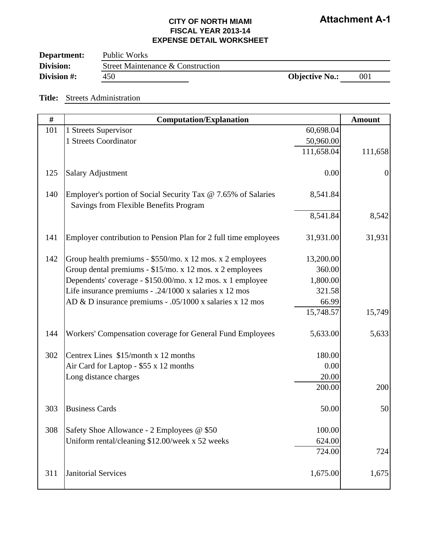| Department: | Public Works                      |                       |     |
|-------------|-----------------------------------|-----------------------|-----|
| Division:   | Street Maintenance & Construction |                       |     |
| Division #: | 450                               | <b>Objective No.:</b> | 001 |

#### **Title:** Streets Administration

| $\#$ | <b>Computation/Explanation</b>                                                                          |            | <b>Amount</b>  |
|------|---------------------------------------------------------------------------------------------------------|------------|----------------|
| 101  | 1 Streets Supervisor                                                                                    | 60,698.04  |                |
|      | 1 Streets Coordinator                                                                                   | 50,960.00  |                |
|      |                                                                                                         | 111,658.04 | 111,658        |
| 125  | <b>Salary Adjustment</b>                                                                                | 0.00       | $\overline{0}$ |
| 140  | Employer's portion of Social Security Tax @ 7.65% of Salaries<br>Savings from Flexible Benefits Program | 8,541.84   |                |
|      |                                                                                                         | 8,541.84   | 8,542          |
| 141  | Employer contribution to Pension Plan for 2 full time employees                                         | 31,931.00  | 31,931         |
| 142  | Group health premiums - \$550/mo. x 12 mos. x 2 employees                                               | 13,200.00  |                |
|      | Group dental premiums - \$15/mo. x 12 mos. x 2 employees                                                | 360.00     |                |
|      | Dependents' coverage - \$150.00/mo. x 12 mos. x 1 employee                                              | 1,800.00   |                |
|      | Life insurance premiums - .24/1000 x salaries x 12 mos                                                  | 321.58     |                |
|      | AD & D insurance premiums - .05/1000 x salaries x 12 mos                                                | 66.99      |                |
|      |                                                                                                         | 15,748.57  | 15,749         |
| 144  | Workers' Compensation coverage for General Fund Employees                                               | 5,633.00   | 5,633          |
| 302  | Centrex Lines \$15/month x 12 months                                                                    | 180.00     |                |
|      | Air Card for Laptop - \$55 x 12 months                                                                  | 0.00       |                |
|      | Long distance charges                                                                                   | 20.00      |                |
|      |                                                                                                         | 200.00     | 200            |
| 303  | <b>Business Cards</b>                                                                                   | 50.00      | 50             |
| 308  | Safety Shoe Allowance - 2 Employees @ \$50                                                              | 100.00     |                |
|      | Uniform rental/cleaning \$12.00/week x 52 weeks                                                         | 624.00     |                |
|      |                                                                                                         | 724.00     | 724            |
| 311  | <b>Janitorial Services</b>                                                                              | 1,675.00   | 1,675          |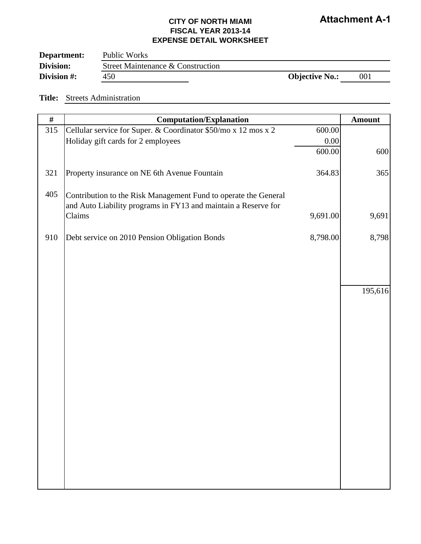| Department: | Public Works                      |                       |     |
|-------------|-----------------------------------|-----------------------|-----|
| Division:   | Street Maintenance & Construction |                       |     |
| Division #: | 450                               | <b>Objective No.:</b> | 001 |

#### **Title:** Streets Administration

| $\#$ | <b>Computation/Explanation</b>                                                                                                    |          | <b>Amount</b> |
|------|-----------------------------------------------------------------------------------------------------------------------------------|----------|---------------|
| 315  | Cellular service for Super. & Coordinator \$50/mo x 12 mos x 2                                                                    | 600.00   |               |
|      | Holiday gift cards for 2 employees                                                                                                | 0.00     |               |
|      |                                                                                                                                   | 600.00   | 600           |
| 321  | Property insurance on NE 6th Avenue Fountain                                                                                      | 364.83   | 365           |
| 405  | Contribution to the Risk Management Fund to operate the General<br>and Auto Liability programs in FY13 and maintain a Reserve for |          |               |
|      | Claims                                                                                                                            | 9,691.00 | 9,691         |
| 910  | Debt service on 2010 Pension Obligation Bonds                                                                                     | 8,798.00 | 8,798         |
|      |                                                                                                                                   |          |               |
|      |                                                                                                                                   |          |               |
|      |                                                                                                                                   |          | 195,616       |
|      |                                                                                                                                   |          |               |
|      |                                                                                                                                   |          |               |
|      |                                                                                                                                   |          |               |
|      |                                                                                                                                   |          |               |
|      |                                                                                                                                   |          |               |
|      |                                                                                                                                   |          |               |
|      |                                                                                                                                   |          |               |
|      |                                                                                                                                   |          |               |
|      |                                                                                                                                   |          |               |
|      |                                                                                                                                   |          |               |
|      |                                                                                                                                   |          |               |
|      |                                                                                                                                   |          |               |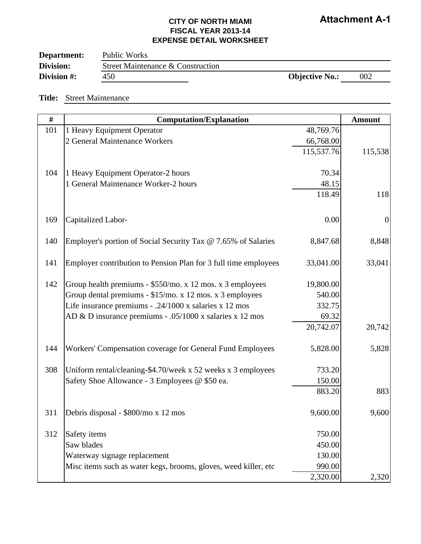| Department: | Public Works                      |                       |     |
|-------------|-----------------------------------|-----------------------|-----|
| Division:   | Street Maintenance & Construction |                       |     |
| Division #: | 450                               | <b>Objective No.:</b> | 002 |

#### **Title:** Street Maintenance

| #   | <b>Computation/Explanation</b>                                  |            | <b>Amount</b>    |
|-----|-----------------------------------------------------------------|------------|------------------|
| 101 | 1 Heavy Equipment Operator                                      | 48,769.76  |                  |
|     | 2 General Maintenance Workers                                   | 66,768.00  |                  |
|     |                                                                 | 115,537.76 | 115,538          |
| 104 | 1 Heavy Equipment Operator-2 hours                              | 70.34      |                  |
|     | 1 General Maintenance Worker-2 hours                            | 48.15      |                  |
|     |                                                                 | 118.49     | 118              |
|     |                                                                 |            |                  |
| 169 | Capitalized Labor-                                              | 0.00       | $\boldsymbol{0}$ |
| 140 | Employer's portion of Social Security Tax @ 7.65% of Salaries   | 8,847.68   | 8,848            |
| 141 | Employer contribution to Pension Plan for 3 full time employees | 33,041.00  | 33,041           |
| 142 | Group health premiums - \$550/mo. x 12 mos. x 3 employees       | 19,800.00  |                  |
|     | Group dental premiums - \$15/mo. x 12 mos. x 3 employees        | 540.00     |                  |
|     | Life insurance premiums - .24/1000 x salaries x 12 mos          | 332.75     |                  |
|     | AD & D insurance premiums - .05/1000 x salaries x 12 mos        | 69.32      |                  |
|     |                                                                 | 20,742.07  | 20,742           |
| 144 | Workers' Compensation coverage for General Fund Employees       | 5,828.00   | 5,828            |
| 308 | Uniform rental/cleaning-\$4.70/week x 52 weeks x 3 employees    | 733.20     |                  |
|     | Safety Shoe Allowance - 3 Employees @ \$50 ea.                  | 150.00     |                  |
|     |                                                                 | 883.20     | 883              |
| 311 | Debris disposal - \$800/mo x 12 mos                             | 9,600.00   | 9,600            |
| 312 | Safety items                                                    | 750.00     |                  |
|     | Saw blades                                                      | 450.00     |                  |
|     | Waterway signage replacement                                    | 130.00     |                  |
|     | Misc items such as water kegs, brooms, gloves, weed killer, etc | 990.00     |                  |
|     |                                                                 | 2,320.00   | 2,320            |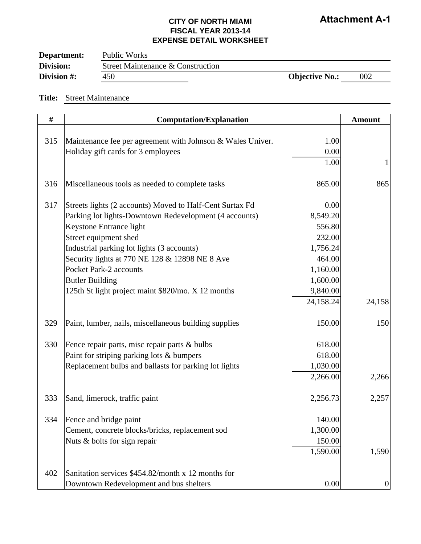| Department: | Public Works                      |                       |     |
|-------------|-----------------------------------|-----------------------|-----|
| Division:   | Street Maintenance & Construction |                       |     |
| Division #: | 450                               | <b>Objective No.:</b> | 002 |

#### **Title:** Street Maintenance

| $\#$ | <b>Computation/Explanation</b>                             |           | <b>Amount</b>    |
|------|------------------------------------------------------------|-----------|------------------|
|      |                                                            |           |                  |
| 315  | Maintenance fee per agreement with Johnson & Wales Univer. | 1.00      |                  |
|      | Holiday gift cards for 3 employees                         | $0.00\,$  |                  |
|      |                                                            | 1.00      | $\mathbf{1}$     |
|      |                                                            |           |                  |
| 316  | Miscellaneous tools as needed to complete tasks            | 865.00    | 865              |
|      |                                                            |           |                  |
| 317  | Streets lights (2 accounts) Moved to Half-Cent Surtax Fd   | 0.00      |                  |
|      | Parking lot lights-Downtown Redevelopment (4 accounts)     | 8,549.20  |                  |
|      | Keystone Entrance light                                    | 556.80    |                  |
|      | Street equipment shed                                      | 232.00    |                  |
|      | Industrial parking lot lights (3 accounts)                 | 1,756.24  |                  |
|      | Security lights at 770 NE 128 & 12898 NE 8 Ave             | 464.00    |                  |
|      | Pocket Park-2 accounts                                     | 1,160.00  |                  |
|      | <b>Butler Building</b>                                     | 1,600.00  |                  |
|      | 125th St light project maint \$820/mo. X 12 months         | 9,840.00  |                  |
|      |                                                            | 24,158.24 | 24,158           |
| 329  | Paint, lumber, nails, miscellaneous building supplies      | 150.00    | 150              |
| 330  | Fence repair parts, misc repair parts & bulbs              | 618.00    |                  |
|      | Paint for striping parking lots & bumpers                  | 618.00    |                  |
|      | Replacement bulbs and ballasts for parking lot lights      | 1,030.00  |                  |
|      |                                                            | 2,266.00  | 2,266            |
| 333  | Sand, limerock, traffic paint                              | 2,256.73  | 2,257            |
| 334  | Fence and bridge paint                                     | 140.00    |                  |
|      | Cement, concrete blocks/bricks, replacement sod            | 1,300.00  |                  |
|      | Nuts & bolts for sign repair                               | 150.00    |                  |
|      |                                                            | 1,590.00  | 1,590            |
|      |                                                            |           |                  |
| 402  | Sanitation services \$454.82/month x 12 months for         |           |                  |
|      | Downtown Redevelopment and bus shelters                    | 0.00      | $\boldsymbol{0}$ |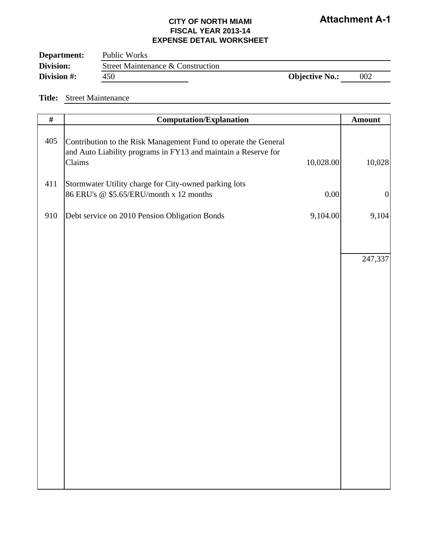| Department: | Public Works                      |                       |     |
|-------------|-----------------------------------|-----------------------|-----|
| Division:   | Street Maintenance & Construction |                       |     |
| Division #: | 450                               | <b>Objective No.:</b> | 002 |

#### **Title:** Street Maintenance

| $\#$ | <b>Computation/Explanation</b>                                                                                                              |           | <b>Amount</b>    |
|------|---------------------------------------------------------------------------------------------------------------------------------------------|-----------|------------------|
| 405  | Contribution to the Risk Management Fund to operate the General<br>and Auto Liability programs in FY13 and maintain a Reserve for<br>Claims | 10,028.00 | 10,028           |
| 411  | Stormwater Utility charge for City-owned parking lots<br>86 ERU's @ \$5.65/ERU/month x 12 months                                            | $0.00\,$  | $\boldsymbol{0}$ |
| 910  | Debt service on 2010 Pension Obligation Bonds                                                                                               | 9,104.00  | 9,104            |
|      |                                                                                                                                             |           |                  |
|      |                                                                                                                                             |           | 247,337          |
|      |                                                                                                                                             |           |                  |
|      |                                                                                                                                             |           |                  |
|      |                                                                                                                                             |           |                  |
|      |                                                                                                                                             |           |                  |
|      |                                                                                                                                             |           |                  |
|      |                                                                                                                                             |           |                  |
|      |                                                                                                                                             |           |                  |
|      |                                                                                                                                             |           |                  |
|      |                                                                                                                                             |           |                  |
|      |                                                                                                                                             |           |                  |
|      |                                                                                                                                             |           |                  |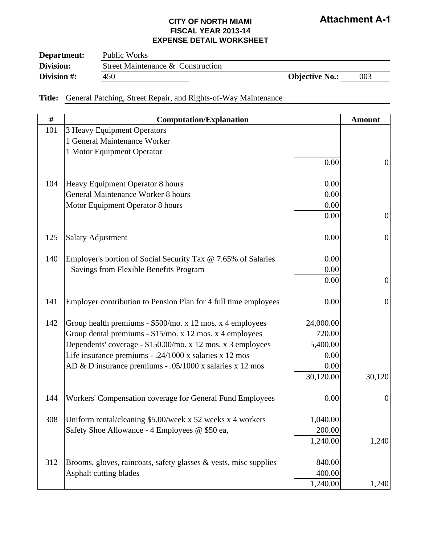### **CITY OF NORTH MIAMI FISCAL YEAR 2013-14 EXPENSE DETAIL WORKSHEET**

| Department: | Public Works                      |                       |     |
|-------------|-----------------------------------|-----------------------|-----|
| Division:   | Street Maintenance & Construction |                       |     |
| Division #: | 450                               | <b>Objective No.:</b> | 003 |

**Title:** General Patching, Street Repair, and Rights-of-Way Maintenance

| $\#$ | <b>Computation/Explanation</b>                                   |           | <b>Amount</b>    |
|------|------------------------------------------------------------------|-----------|------------------|
| 101  | 3 Heavy Equipment Operators                                      |           |                  |
|      | 1 General Maintenance Worker                                     |           |                  |
|      | 1 Motor Equipment Operator                                       |           |                  |
|      |                                                                  | 0.00      | $\boldsymbol{0}$ |
|      |                                                                  |           |                  |
| 104  | Heavy Equipment Operator 8 hours                                 | 0.00      |                  |
|      | <b>General Maintenance Worker 8 hours</b>                        | 0.00      |                  |
|      | Motor Equipment Operator 8 hours                                 | 0.00      |                  |
|      |                                                                  | 0.00      | $\overline{0}$   |
| 125  |                                                                  | 0.00      | $\overline{0}$   |
|      | <b>Salary Adjustment</b>                                         |           |                  |
| 140  | Employer's portion of Social Security Tax @ 7.65% of Salaries    | 0.00      |                  |
|      | Savings from Flexible Benefits Program                           | 0.00      |                  |
|      |                                                                  | 0.00      | $\overline{0}$   |
|      |                                                                  |           |                  |
| 141  | Employer contribution to Pension Plan for 4 full time employees  | 0.00      | $\mathbf{0}$     |
| 142  | Group health premiums - \$500/mo. x 12 mos. x 4 employees        | 24,000.00 |                  |
|      | Group dental premiums - \$15/mo. x 12 mos. x 4 employees         | 720.00    |                  |
|      | Dependents' coverage - \$150.00/mo. x 12 mos. x 3 employees      | 5,400.00  |                  |
|      | Life insurance premiums - .24/1000 x salaries x 12 mos           | 0.00      |                  |
|      | AD & D insurance premiums - .05/1000 x salaries x 12 mos         | 0.00      |                  |
|      |                                                                  | 30,120.00 | 30,120           |
|      |                                                                  |           |                  |
| 144  | Workers' Compensation coverage for General Fund Employees        | 0.00      | $\overline{0}$   |
| 308  | Uniform rental/cleaning \$5.00/week x 52 weeks x 4 workers       | 1,040.00  |                  |
|      | Safety Shoe Allowance - 4 Employees @ \$50 ea,                   | 200.00    |                  |
|      |                                                                  | 1,240.00  | 1,240            |
|      |                                                                  |           |                  |
| 312  | Brooms, gloves, raincoats, safety glasses & vests, misc supplies | 840.00    |                  |
|      | Asphalt cutting blades                                           | 400.00    |                  |
|      |                                                                  | 1,240.00  | 1,240            |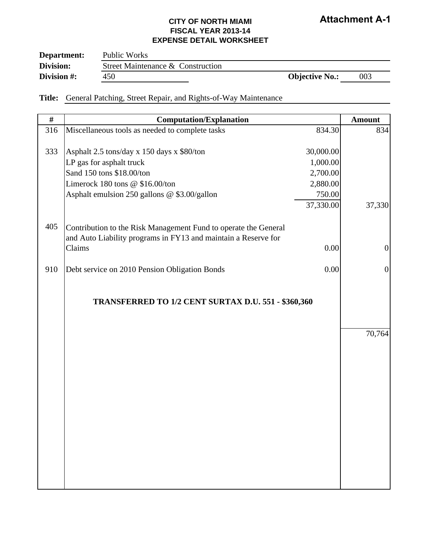| Department: | Public Works                      |                       |     |
|-------------|-----------------------------------|-----------------------|-----|
| Division:   | Street Maintenance & Construction |                       |     |
| Division #: | 450                               | <b>Objective No.:</b> | 003 |

**Title:** General Patching, Street Repair, and Rights-of-Way Maintenance

| $\#$ | <b>Computation/Explanation</b>                                  |           | <b>Amount</b>  |
|------|-----------------------------------------------------------------|-----------|----------------|
| 316  | Miscellaneous tools as needed to complete tasks                 | 834.30    | 834            |
|      |                                                                 |           |                |
| 333  | Asphalt 2.5 tons/day x 150 days x \$80/ton                      | 30,000.00 |                |
|      | LP gas for asphalt truck                                        | 1,000.00  |                |
|      | Sand 150 tons \$18.00/ton                                       | 2,700.00  |                |
|      | Limerock 180 tons @ \$16.00/ton                                 | 2,880.00  |                |
|      | Asphalt emulsion 250 gallons @ \$3.00/gallon                    | 750.00    |                |
|      |                                                                 | 37,330.00 | 37,330         |
| 405  | Contribution to the Risk Management Fund to operate the General |           |                |
|      | and Auto Liability programs in FY13 and maintain a Reserve for  |           |                |
|      | Claims                                                          | 0.00      | $\overline{0}$ |
|      |                                                                 |           |                |
| 910  | Debt service on 2010 Pension Obligation Bonds                   | 0.00      | $\overline{0}$ |
|      |                                                                 |           |                |
|      | TRANSFERRED TO 1/2 CENT SURTAX D.U. 551 - \$360,360             |           |                |
|      |                                                                 |           |                |
|      |                                                                 |           | 70,764         |
|      |                                                                 |           |                |
|      |                                                                 |           |                |
|      |                                                                 |           |                |
|      |                                                                 |           |                |
|      |                                                                 |           |                |
|      |                                                                 |           |                |
|      |                                                                 |           |                |
|      |                                                                 |           |                |
|      |                                                                 |           |                |
|      |                                                                 |           |                |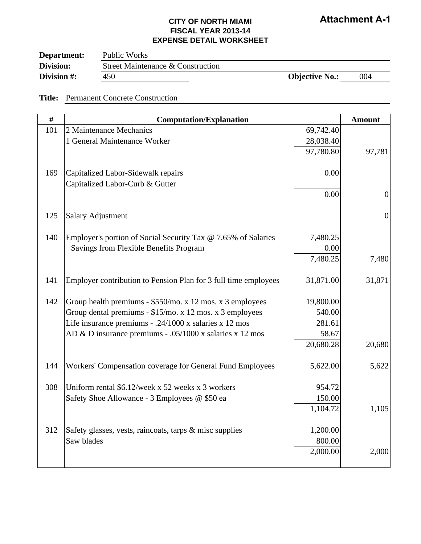| Department: | Public Works                      |                       |     |
|-------------|-----------------------------------|-----------------------|-----|
| Division:   | Street Maintenance & Construction |                       |     |
| Division #: | 450                               | <b>Objective No.:</b> | 004 |

**Title:** Permanent Concrete Construction

| #   | <b>Computation/Explanation</b>                                  |           | <b>Amount</b>  |
|-----|-----------------------------------------------------------------|-----------|----------------|
| 101 | 2 Maintenance Mechanics                                         | 69,742.40 |                |
|     | 1 General Maintenance Worker                                    | 28,038.40 |                |
|     |                                                                 | 97,780.80 | 97,781         |
|     |                                                                 |           |                |
| 169 | Capitalized Labor-Sidewalk repairs                              | 0.00      |                |
|     | Capitalized Labor-Curb & Gutter                                 |           |                |
|     |                                                                 | 0.00      | $\overline{0}$ |
| 125 | <b>Salary Adjustment</b>                                        |           | $\overline{0}$ |
| 140 | Employer's portion of Social Security Tax @ 7.65% of Salaries   | 7,480.25  |                |
|     | Savings from Flexible Benefits Program                          | 0.00      |                |
|     |                                                                 | 7,480.25  | 7,480          |
|     |                                                                 |           |                |
| 141 | Employer contribution to Pension Plan for 3 full time employees | 31,871.00 | 31,871         |
| 142 | Group health premiums - \$550/mo. x 12 mos. x 3 employees       | 19,800.00 |                |
|     | Group dental premiums - \$15/mo. x 12 mos. x 3 employees        | 540.00    |                |
|     | Life insurance premiums - .24/1000 x salaries x 12 mos          | 281.61    |                |
|     | AD & D insurance premiums - .05/1000 x salaries x 12 mos        | 58.67     |                |
|     |                                                                 | 20,680.28 | 20,680         |
| 144 | Workers' Compensation coverage for General Fund Employees       | 5,622.00  | 5,622          |
|     |                                                                 |           |                |
| 308 | Uniform rental \$6.12/week x 52 weeks x 3 workers               | 954.72    |                |
|     | Safety Shoe Allowance - 3 Employees @ \$50 ea                   | 150.00    |                |
|     |                                                                 | 1,104.72  | 1,105          |
| 312 | Safety glasses, vests, raincoats, tarps & misc supplies         | 1,200.00  |                |
|     | Saw blades                                                      | 800.00    |                |
|     |                                                                 | 2,000.00  | 2,000          |
|     |                                                                 |           |                |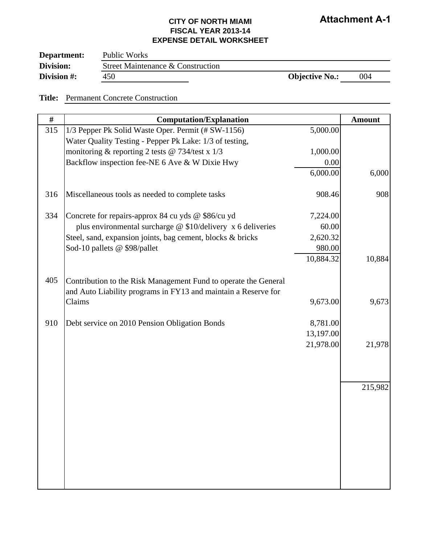| Department: | Public Works                      |                       |     |
|-------------|-----------------------------------|-----------------------|-----|
| Division:   | Street Maintenance & Construction |                       |     |
| Division #: | 450                               | <b>Objective No.:</b> | 004 |

**Title:** Permanent Concrete Construction

| #   | <b>Computation/Explanation</b>                                                                                                    |           | <b>Amount</b> |
|-----|-----------------------------------------------------------------------------------------------------------------------------------|-----------|---------------|
| 315 | 1/3 Pepper Pk Solid Waste Oper. Permit (# SW-1156)                                                                                | 5,000.00  |               |
|     | Water Quality Testing - Pepper Pk Lake: 1/3 of testing,                                                                           |           |               |
|     | monitoring & reporting 2 tests @ 734/test x $1/3$                                                                                 | 1,000.00  |               |
|     | Backflow inspection fee-NE 6 Ave & W Dixie Hwy                                                                                    | 0.00      |               |
|     |                                                                                                                                   | 6,000.00  | 6,000         |
| 316 | Miscellaneous tools as needed to complete tasks                                                                                   | 908.46    | 908           |
| 334 | Concrete for repairs-approx 84 cu yds @ \$86/cu yd                                                                                | 7,224.00  |               |
|     | plus environmental surcharge $@$ \$10/delivery x 6 deliveries                                                                     | 60.00     |               |
|     | Steel, sand, expansion joints, bag cement, blocks & bricks                                                                        | 2,620.32  |               |
|     | Sod-10 pallets @ \$98/pallet                                                                                                      | 980.00    |               |
|     |                                                                                                                                   | 10,884.32 | 10,884        |
| 405 | Contribution to the Risk Management Fund to operate the General<br>and Auto Liability programs in FY13 and maintain a Reserve for |           |               |
|     | Claims                                                                                                                            | 9,673.00  | 9,673         |
| 910 | Debt service on 2010 Pension Obligation Bonds                                                                                     | 8,781.00  |               |
|     |                                                                                                                                   | 13,197.00 |               |
|     |                                                                                                                                   | 21,978.00 | 21,978        |
|     |                                                                                                                                   |           |               |
|     |                                                                                                                                   |           | 215,982       |
|     |                                                                                                                                   |           |               |
|     |                                                                                                                                   |           |               |
|     |                                                                                                                                   |           |               |
|     |                                                                                                                                   |           |               |
|     |                                                                                                                                   |           |               |
|     |                                                                                                                                   |           |               |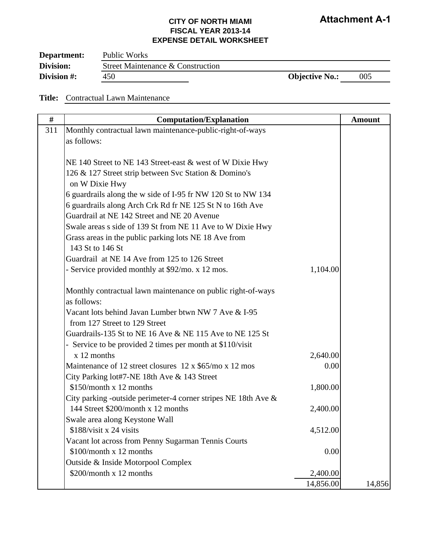| Department: | Public Works                      |                       |     |
|-------------|-----------------------------------|-----------------------|-----|
| Division:   | Street Maintenance & Construction |                       |     |
| Division #: | 450                               | <b>Objective No.:</b> | 005 |

**Title:** Contractual Lawn Maintenance

| #   | <b>Computation/Explanation</b>                                      |           | <b>Amount</b> |
|-----|---------------------------------------------------------------------|-----------|---------------|
| 311 | Monthly contractual lawn maintenance-public-right-of-ways           |           |               |
|     | as follows:                                                         |           |               |
|     |                                                                     |           |               |
|     | NE 140 Street to NE 143 Street-east & west of W Dixie Hwy           |           |               |
|     | 126 & 127 Street strip between Svc Station & Domino's               |           |               |
|     | on W Dixie Hwy                                                      |           |               |
|     | 6 guardrails along the w side of I-95 fr NW 120 St to NW 134        |           |               |
|     | 6 guardrails along Arch Crk Rd fr NE 125 St N to 16th Ave           |           |               |
|     | Guardrail at NE 142 Street and NE 20 Avenue                         |           |               |
|     | Swale areas s side of 139 St from NE 11 Ave to W Dixie Hwy          |           |               |
|     | Grass areas in the public parking lots NE 18 Ave from               |           |               |
|     | 143 St to 146 St                                                    |           |               |
|     | Guardrail at NE 14 Ave from 125 to 126 Street                       |           |               |
|     | - Service provided monthly at \$92/mo. x 12 mos.                    | 1,104.00  |               |
|     |                                                                     |           |               |
|     | Monthly contractual lawn maintenance on public right-of-ways        |           |               |
|     | as follows:                                                         |           |               |
|     | Vacant lots behind Javan Lumber btwn NW 7 Ave & I-95                |           |               |
|     | from 127 Street to 129 Street                                       |           |               |
|     | Guardrails-135 St to NE 16 Ave $\&$ NE 115 Ave to NE 125 St         |           |               |
|     | - Service to be provided 2 times per month at \$110/visit           |           |               |
|     | x 12 months                                                         | 2,640.00  |               |
|     | Maintenance of 12 street closures $12 \times \frac{65}{m}$ x 12 mos | 0.00      |               |
|     | City Parking lot#7-NE 18th Ave & 143 Street                         |           |               |
|     | \$150/month x 12 months                                             | 1,800.00  |               |
|     | City parking -outside perimeter-4 corner stripes NE 18th Ave &      |           |               |
|     | 144 Street \$200/month x 12 months                                  | 2,400.00  |               |
|     | Swale area along Keystone Wall                                      |           |               |
|     | \$188/visit x 24 visits                                             | 4,512.00  |               |
|     | Vacant lot across from Penny Sugarman Tennis Courts                 |           |               |
|     | \$100/month x 12 months                                             | 0.00      |               |
|     | Outside & Inside Motorpool Complex                                  |           |               |
|     | \$200/month x 12 months                                             | 2,400.00  |               |
|     |                                                                     | 14,856.00 | 14,856        |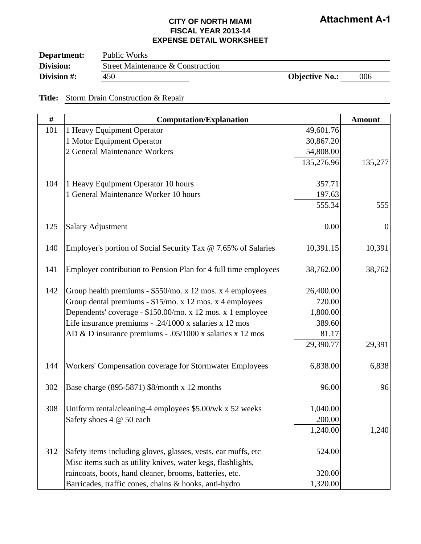| Department: | Public Works                      |                       |     |
|-------------|-----------------------------------|-----------------------|-----|
| Division:   | Street Maintenance & Construction |                       |     |
| Division #: | 450                               | <b>Objective No.:</b> | 006 |

<u> 1989 - Johann Barnett, fransk politiker (</u>

**Title:** Storm Drain Construction & Repair

| #   | <b>Computation/Explanation</b>                                  |            | <b>Amount</b>    |
|-----|-----------------------------------------------------------------|------------|------------------|
| 101 | 1 Heavy Equipment Operator                                      | 49,601.76  |                  |
|     | 1 Motor Equipment Operator                                      | 30,867.20  |                  |
|     | 2 General Maintenance Workers                                   | 54,808.00  |                  |
|     |                                                                 | 135,276.96 | 135,277          |
| 104 | 1 Heavy Equipment Operator 10 hours                             | 357.71     |                  |
|     | 1 General Maintenance Worker 10 hours                           | 197.63     |                  |
|     |                                                                 | 555.34     | 555              |
| 125 | <b>Salary Adjustment</b>                                        | 0.00       | $\boldsymbol{0}$ |
| 140 | Employer's portion of Social Security Tax @ 7.65% of Salaries   | 10,391.15  | 10,391           |
| 141 | Employer contribution to Pension Plan for 4 full time employees | 38,762.00  | 38,762           |
| 142 | Group health premiums - \$550/mo. x 12 mos. x 4 employees       | 26,400.00  |                  |
|     | Group dental premiums - \$15/mo. x 12 mos. x 4 employees        | 720.00     |                  |
|     | Dependents' coverage - \$150.00/mo. x 12 mos. x 1 employee      | 1,800.00   |                  |
|     | Life insurance premiums - .24/1000 x salaries x 12 mos          | 389.60     |                  |
|     | AD & D insurance premiums - .05/1000 x salaries x 12 mos        | 81.17      |                  |
|     |                                                                 | 29,390.77  | 29,391           |
| 144 | Workers' Compensation coverage for Stormwater Employees         | 6,838.00   | 6,838            |
| 302 | Base charge (895-5871) \$8/month x 12 months                    | 96.00      | 96               |
| 308 | Uniform rental/cleaning-4 employees \$5.00/wk x 52 weeks        | 1,040.00   |                  |
|     | Safety shoes 4 @ 50 each                                        | 200.00     |                  |
|     |                                                                 | 1,240.00   | 1,240            |
| 312 | Safety items including gloves, glasses, vests, ear muffs, etc   | 524.00     |                  |
|     | Misc items such as utility knives, water kegs, flashlights,     |            |                  |
|     | raincoats, boots, hand cleaner, brooms, batteries, etc.         | 320.00     |                  |
|     | Barricades, traffic cones, chains & hooks, anti-hydro           | 1,320.00   |                  |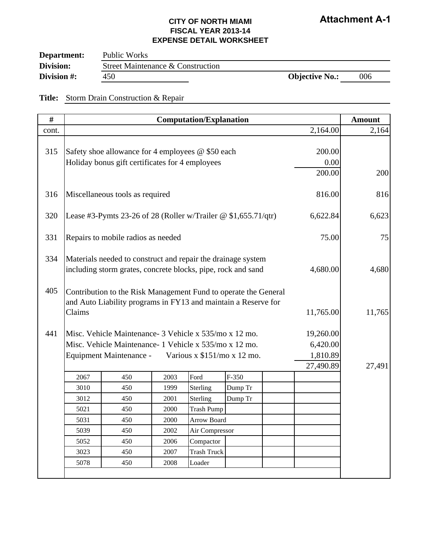| Department: | Public Works                      |                       |     |
|-------------|-----------------------------------|-----------------------|-----|
| Division:   | Street Maintenance & Construction |                       |     |
| Division #: | 450                               | <b>Objective No.:</b> | 006 |

<u> 1989 - Johann Barn, mars ann an t-Amhair an t-Amhair an t-Amhair an t-Amhair an t-Amhair an t-Amhair an t-Amh</u>

**Title:** Storm Drain Construction & Repair

| $\#$  |                                                                                                                                             |                                                                                                                                                                           |      | <b>Computation/Explanation</b> |         |           |                                                | <b>Amount</b> |
|-------|---------------------------------------------------------------------------------------------------------------------------------------------|---------------------------------------------------------------------------------------------------------------------------------------------------------------------------|------|--------------------------------|---------|-----------|------------------------------------------------|---------------|
| cont. |                                                                                                                                             |                                                                                                                                                                           |      |                                |         |           | 2,164.00                                       | 2,164         |
| 315   |                                                                                                                                             | Safety shoe allowance for 4 employees @ \$50 each<br>Holiday bonus gift certificates for 4 employees                                                                      |      | 200.00<br>0.00<br>200.00       | 200     |           |                                                |               |
| 316   |                                                                                                                                             | Miscellaneous tools as required                                                                                                                                           |      |                                |         |           |                                                | 816           |
| 320   |                                                                                                                                             | Lease #3-Pymts 23-26 of 28 (Roller w/Trailer $@$ \$1,655.71/qtr)                                                                                                          |      |                                |         |           | 6,622.84                                       | 6,623         |
| 331   |                                                                                                                                             | Repairs to mobile radios as needed                                                                                                                                        |      |                                |         |           | 75.00                                          | 75            |
| 334   | Materials needed to construct and repair the drainage system<br>including storm grates, concrete blocks, pipe, rock and sand                |                                                                                                                                                                           |      |                                |         | 4,680.00  | 4,680                                          |               |
| 405   | Contribution to the Risk Management Fund to operate the General<br>and Auto Liability programs in FY13 and maintain a Reserve for<br>Claims |                                                                                                                                                                           |      |                                |         | 11,765.00 | 11,765                                         |               |
| 441   |                                                                                                                                             | Misc. Vehicle Maintenance - 3 Vehicle x 535/mo x 12 mo.<br>Misc. Vehicle Maintenance - 1 Vehicle x 535/mo x 12 mo.<br>Equipment Maintenance - Various x \$151/mo x 12 mo. |      |                                |         |           | 19,260.00<br>6,420.00<br>1,810.89<br>27,490.89 | 27,491        |
|       | 2067                                                                                                                                        | 450                                                                                                                                                                       | 2003 | Ford                           | $F-350$ |           |                                                |               |
|       | 3010                                                                                                                                        | 450                                                                                                                                                                       | 1999 | Sterling                       | Dump Tr |           |                                                |               |
|       | 3012                                                                                                                                        | 450                                                                                                                                                                       | 2001 | Sterling                       | Dump Tr |           |                                                |               |
|       | 5021                                                                                                                                        | 450                                                                                                                                                                       | 2000 | <b>Trash Pump</b>              |         |           |                                                |               |
|       | 5031                                                                                                                                        | 450                                                                                                                                                                       | 2000 | Arrow Board                    |         |           |                                                |               |
|       | 5039                                                                                                                                        | 450                                                                                                                                                                       | 2002 | Air Compressor                 |         |           |                                                |               |
|       | 5052                                                                                                                                        | 450                                                                                                                                                                       | 2006 | Compactor                      |         |           |                                                |               |
|       | 3023                                                                                                                                        | 450                                                                                                                                                                       | 2007 | <b>Trash Truck</b>             |         |           |                                                |               |
|       | 5078                                                                                                                                        | 450                                                                                                                                                                       | 2008 | Loader                         |         |           |                                                |               |
|       |                                                                                                                                             |                                                                                                                                                                           |      |                                |         |           |                                                |               |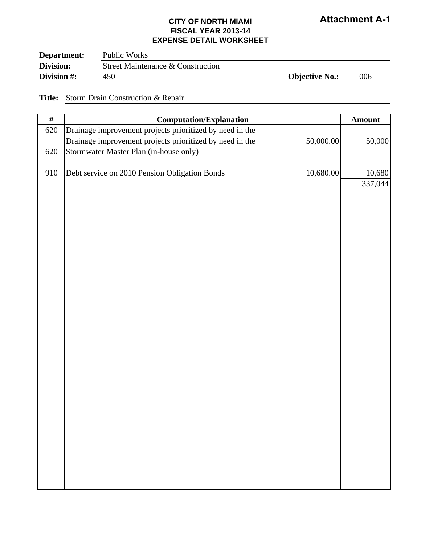### **CITY OF NORTH MIAMI FISCAL YEAR 2013-14 EXPENSE DETAIL WORKSHEET**

| Department: | Public Works                      |                       |     |
|-------------|-----------------------------------|-----------------------|-----|
| Division:   | Street Maintenance & Construction |                       |     |
| Division #: | 450                               | <b>Objective No.:</b> | 006 |

**Title:** Storm Drain Construction & Repair

| $\#$ | <b>Computation/Explanation</b>                           |           | Amount  |
|------|----------------------------------------------------------|-----------|---------|
| 620  | Drainage improvement projects prioritized by need in the |           |         |
|      | Drainage improvement projects prioritized by need in the | 50,000.00 | 50,000  |
| 620  | Stormwater Master Plan (in-house only)                   |           |         |
| 910  | Debt service on 2010 Pension Obligation Bonds            | 10,680.00 | 10,680  |
|      |                                                          |           | 337,044 |
|      |                                                          |           |         |
|      |                                                          |           |         |
|      |                                                          |           |         |
|      |                                                          |           |         |
|      |                                                          |           |         |
|      |                                                          |           |         |
|      |                                                          |           |         |
|      |                                                          |           |         |
|      |                                                          |           |         |
|      |                                                          |           |         |
|      |                                                          |           |         |
|      |                                                          |           |         |
|      |                                                          |           |         |
|      |                                                          |           |         |
|      |                                                          |           |         |
|      |                                                          |           |         |
|      |                                                          |           |         |
|      |                                                          |           |         |
|      |                                                          |           |         |
|      |                                                          |           |         |
|      |                                                          |           |         |
|      |                                                          |           |         |
|      |                                                          |           |         |
|      |                                                          |           |         |
|      |                                                          |           |         |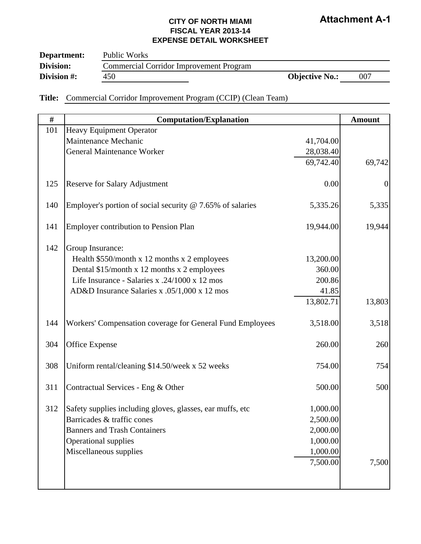| Department: | Public Works                                   |                       |     |
|-------------|------------------------------------------------|-----------------------|-----|
| Division:   | <b>Commercial Corridor Improvement Program</b> |                       |     |
| Division #: | 450                                            | <b>Objective No.:</b> | 007 |

### **Title:** Commercial Corridor Improvement Program (CCIP) (Clean Team)

| $\#$ | <b>Computation/Explanation</b>                              |           | <b>Amount</b>  |
|------|-------------------------------------------------------------|-----------|----------------|
| 101  | Heavy Equipment Operator                                    |           |                |
|      | Maintenance Mechanic                                        | 41,704.00 |                |
|      | <b>General Maintenance Worker</b>                           | 28,038.40 |                |
|      |                                                             | 69,742.40 | 69,742         |
| 125  | <b>Reserve for Salary Adjustment</b>                        | 0.00      | $\overline{0}$ |
| 140  | Employer's portion of social security $@$ 7.65% of salaries | 5,335.26  | 5,335          |
| 141  | <b>Employer contribution to Pension Plan</b>                | 19,944.00 | 19,944         |
| 142  | Group Insurance:                                            |           |                |
|      | Health \$550/month x 12 months x 2 employees                | 13,200.00 |                |
|      | Dental \$15/month x 12 months x 2 employees                 | 360.00    |                |
|      | Life Insurance - Salaries x .24/1000 x 12 mos               | 200.86    |                |
|      | AD&D Insurance Salaries x .05/1,000 x 12 mos                | 41.85     |                |
|      |                                                             | 13,802.71 | 13,803         |
| 144  | Workers' Compensation coverage for General Fund Employees   | 3,518.00  | 3,518          |
| 304  | <b>Office Expense</b>                                       | 260.00    | 260            |
| 308  | Uniform rental/cleaning \$14.50/week x 52 weeks             | 754.00    | 754            |
| 311  | Contractual Services - Eng & Other                          | 500.00    | 500            |
| 312  | Safety supplies including gloves, glasses, ear muffs, etc   | 1,000.00  |                |
|      | Barricades & traffic cones                                  | 2,500.00  |                |
|      | <b>Banners and Trash Containers</b>                         | 2,000.00  |                |
|      | <b>Operational supplies</b>                                 | 1,000.00  |                |
|      | Miscellaneous supplies                                      | 1,000.00  |                |
|      |                                                             | 7,500.00  | 7,500          |
|      |                                                             |           |                |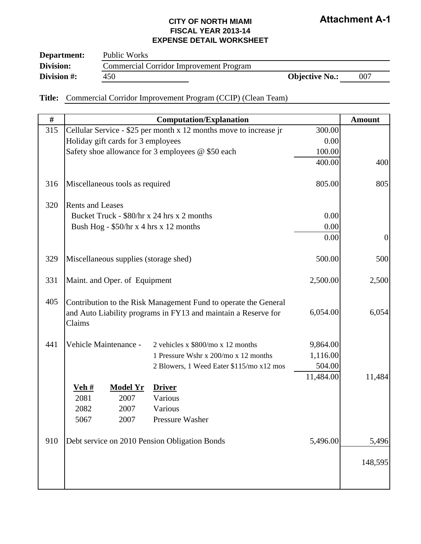| Department: | Public Works                                   |                       |     |
|-------------|------------------------------------------------|-----------------------|-----|
| Division:   | <b>Commercial Corridor Improvement Program</b> |                       |     |
| Division #: | 450                                            | <b>Objective No.:</b> | 007 |

### **Title:** Commercial Corridor Improvement Program (CCIP) (Clean Team)

| #   |                                                                                                                                             | <b>Computation/Explanation</b>                                    |           | <b>Amount</b>    |
|-----|---------------------------------------------------------------------------------------------------------------------------------------------|-------------------------------------------------------------------|-----------|------------------|
| 315 |                                                                                                                                             | Cellular Service - \$25 per month x 12 months move to increase jr | 300.00    |                  |
|     | Holiday gift cards for 3 employees                                                                                                          |                                                                   | 0.00      |                  |
|     |                                                                                                                                             | Safety shoe allowance for 3 employees @ \$50 each                 | 100.00    |                  |
|     |                                                                                                                                             |                                                                   | 400.00    | 400              |
| 316 | Miscellaneous tools as required                                                                                                             |                                                                   | 805.00    | 805              |
| 320 | <b>Rents and Leases</b>                                                                                                                     |                                                                   |           |                  |
|     | Bucket Truck - \$80/hr x 24 hrs x 2 months                                                                                                  |                                                                   | 0.00      |                  |
|     | Bush Hog - \$50/hr x 4 hrs x 12 months                                                                                                      |                                                                   | 0.00      |                  |
|     |                                                                                                                                             |                                                                   | 0.00      | $\boldsymbol{0}$ |
| 329 | Miscellaneous supplies (storage shed)                                                                                                       | 500.00                                                            | 500       |                  |
| 331 | Maint. and Oper. of Equipment                                                                                                               | 2,500.00                                                          | 2,500     |                  |
| 405 | Contribution to the Risk Management Fund to operate the General<br>and Auto Liability programs in FY13 and maintain a Reserve for<br>Claims | 6,054.00                                                          | 6,054     |                  |
| 441 | Vehicle Maintenance -                                                                                                                       | 2 vehicles x $$800/mo x 12 months$                                | 9,864.00  |                  |
|     |                                                                                                                                             | 1 Pressure Wshr x 200/mo x 12 months                              | 1,116.00  |                  |
|     |                                                                                                                                             | 2 Blowers, 1 Weed Eater \$115/mo x12 mos                          | 504.00    |                  |
|     |                                                                                                                                             |                                                                   | 11,484.00 | 11,484           |
|     | <u>Veh #</u><br><b>Model Yr</b>                                                                                                             | <b>Driver</b>                                                     |           |                  |
|     | 2081<br>2007                                                                                                                                | Various                                                           |           |                  |
|     | 2082<br>2007                                                                                                                                | Various                                                           |           |                  |
|     | 5067<br>2007                                                                                                                                | Pressure Washer                                                   |           |                  |
| 910 | Debt service on 2010 Pension Obligation Bonds                                                                                               |                                                                   | 5,496.00  | 5,496            |
|     |                                                                                                                                             |                                                                   |           | 148,595          |
|     |                                                                                                                                             |                                                                   |           |                  |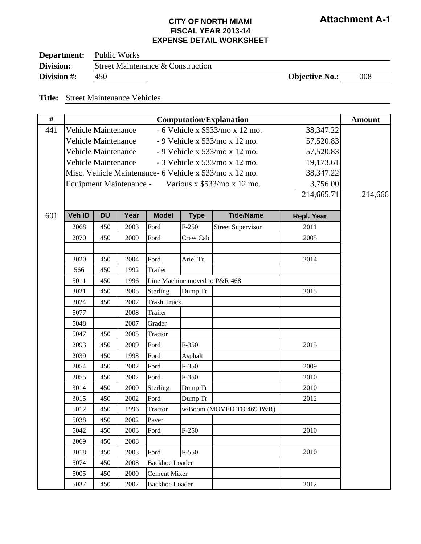| Department: | Public Works                      |                       |     |
|-------------|-----------------------------------|-----------------------|-----|
| Division:   | Street Maintenance & Construction |                       |     |
| Division #: | 450                               | <b>Objective No.:</b> | 008 |

#### **Title:** Street Maintenance Vehicles

| $\#$ | <b>Computation/Explanation</b> |                                                                          |      |                       |                               |                                                        |             | <b>Amount</b> |
|------|--------------------------------|--------------------------------------------------------------------------|------|-----------------------|-------------------------------|--------------------------------------------------------|-------------|---------------|
| 441  | <b>Vehicle Maintenance</b>     |                                                                          |      |                       |                               | - 6 Vehicle x \$533/mo x 12 mo.                        | 38,347.22   |               |
|      |                                | <b>Vehicle Maintenance</b><br>- 9 Vehicle x 533/mo x 12 mo.<br>57,520.83 |      |                       |                               |                                                        |             |               |
|      | <b>Vehicle Maintenance</b>     |                                                                          |      |                       |                               | - 9 Vehicle x 533/mo x 12 mo.                          | 57,520.83   |               |
|      | <b>Vehicle Maintenance</b>     |                                                                          |      |                       |                               | - 3 Vehicle x 533/mo x 12 mo.                          | 19,173.61   |               |
|      |                                |                                                                          |      |                       |                               | Misc. Vehicle Maintenance- 6 Vehicle x 533/mo x 12 mo. | 38, 347. 22 |               |
|      |                                |                                                                          |      |                       |                               | Equipment Maintenance - Various x \$533/mo x 12 mo.    | 3,756.00    |               |
|      |                                |                                                                          |      |                       |                               |                                                        | 214,665.71  | 214,666       |
|      |                                |                                                                          |      |                       |                               |                                                        |             |               |
| 601  | Veh ID                         | <b>DU</b>                                                                | Year | <b>Model</b>          | <b>Type</b>                   | <b>Title/Name</b>                                      | Repl. Year  |               |
|      | 2068                           | 450                                                                      | 2003 | Ford                  | $F-250$                       | <b>Street Supervisor</b>                               | 2011        |               |
|      | 2070                           | 450                                                                      | 2000 | Ford                  | Crew Cab                      |                                                        | 2005        |               |
|      |                                |                                                                          |      |                       |                               |                                                        |             |               |
|      | 3020                           | 450                                                                      | 2004 | Ford                  | Ariel Tr.                     |                                                        | 2014        |               |
|      | 566                            | 450                                                                      | 1992 | Trailer               |                               |                                                        |             |               |
|      | 5011                           | 450                                                                      | 1996 |                       | Line Machine moved to P&R 468 |                                                        |             |               |
|      | 3021                           | 450                                                                      | 2005 | Sterling              | Dump Tr                       |                                                        | 2015        |               |
|      | 3024                           | 450                                                                      | 2007 | <b>Trash Truck</b>    |                               |                                                        |             |               |
|      | 5077                           |                                                                          | 2008 | Trailer               |                               |                                                        |             |               |
|      | 5048                           |                                                                          | 2007 | Grader                |                               |                                                        |             |               |
|      | 5047                           | 450                                                                      | 2005 | Tractor               |                               |                                                        |             |               |
|      | 2093                           | 450                                                                      | 2009 | Ford                  | $F-350$                       |                                                        | 2015        |               |
|      | 2039                           | 450                                                                      | 1998 | Ford                  | Asphalt                       |                                                        |             |               |
|      | 2054                           | 450                                                                      | 2002 | Ford                  | $F-350$                       |                                                        | 2009        |               |
|      | 2055                           | 450                                                                      | 2002 | Ford                  | $F-350$                       |                                                        | 2010        |               |
|      | 3014                           | 450                                                                      | 2000 | Sterling              | Dump Tr                       |                                                        | 2010        |               |
|      | 3015                           | 450                                                                      | 2002 | Ford                  | Dump Tr                       |                                                        | 2012        |               |
|      | 5012                           | 450                                                                      | 1996 | Tractor               |                               | w/Boom (MOVED TO 469 P&R)                              |             |               |
|      | 5038                           | 450                                                                      | 2002 | Paver                 |                               |                                                        |             |               |
|      | 5042                           | 450                                                                      | 2003 | Ford                  | $F-250$                       |                                                        | 2010        |               |
|      | 2069                           | 450                                                                      | 2008 |                       |                               |                                                        |             |               |
|      | 3018                           | 450                                                                      | 2003 | Ford                  | $F-550$                       |                                                        | 2010        |               |
|      | 5074                           | 450                                                                      | 2008 | <b>Backhoe Loader</b> |                               |                                                        |             |               |
|      | 5005                           | 450                                                                      | 2000 | <b>Cement Mixer</b>   |                               |                                                        |             |               |
|      | 5037                           | 450                                                                      | 2002 | <b>Backhoe Loader</b> |                               |                                                        | 2012        |               |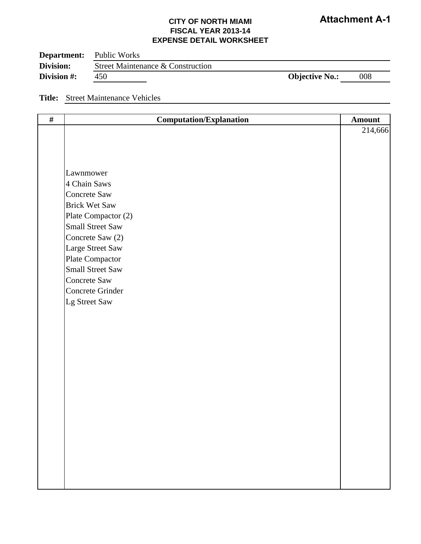| <b>Department:</b> | Public Works                      |                       |     |
|--------------------|-----------------------------------|-----------------------|-----|
| <b>Division:</b>   | Street Maintenance & Construction |                       |     |
| Division #:        | 450                               | <b>Objective No.:</b> | 008 |

#### **Title:** Street Maintenance Vehicles

| $\#$ | <b>Computation/Explanation</b> | <b>Amount</b> |
|------|--------------------------------|---------------|
|      |                                | 214,666       |
|      |                                |               |
|      |                                |               |
|      |                                |               |
|      | Lawnmower                      |               |
|      | 4 Chain Saws                   |               |
|      | Concrete Saw                   |               |
|      | <b>Brick Wet Saw</b>           |               |
|      | Plate Compactor (2)            |               |
|      | <b>Small Street Saw</b>        |               |
|      | Concrete Saw (2)               |               |
|      | Large Street Saw               |               |
|      | Plate Compactor                |               |
|      | <b>Small Street Saw</b>        |               |
|      | Concrete Saw                   |               |
|      | Concrete Grinder               |               |
|      | Lg Street Saw                  |               |
|      |                                |               |
|      |                                |               |
|      |                                |               |
|      |                                |               |
|      |                                |               |
|      |                                |               |
|      |                                |               |
|      |                                |               |
|      |                                |               |
|      |                                |               |
|      |                                |               |
|      |                                |               |
|      |                                |               |
|      |                                |               |
|      |                                |               |
|      |                                |               |
|      |                                |               |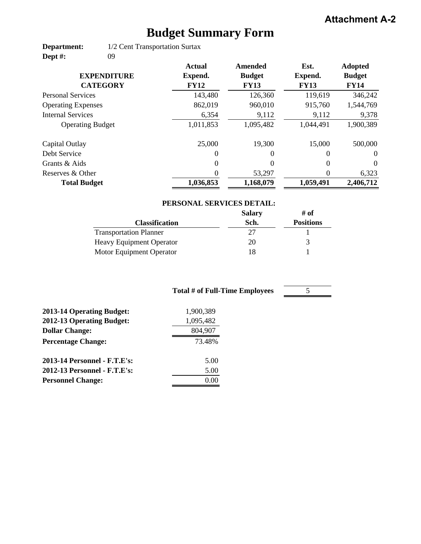# **Budget Summary Form**

**Department: Dept #:** 1/2 Cent Transportation Surtax 09

|                           | <b>Actual</b> | Amended       | Est.        | <b>Adopted</b> |
|---------------------------|---------------|---------------|-------------|----------------|
| <b>EXPENDITURE</b>        | Expend.       | <b>Budget</b> | Expend.     | <b>Budget</b>  |
| <b>CATEGORY</b>           | <b>FY12</b>   | <b>FY13</b>   | <b>FY13</b> | <b>FY14</b>    |
| <b>Personal Services</b>  | 143,480       | 126,360       | 119,619     | 346,242        |
| <b>Operating Expenses</b> | 862,019       | 960,010       | 915,760     | 1,544,769      |
| <b>Internal Services</b>  | 6,354         | 9,112         | 9,112       | 9,378          |
| <b>Operating Budget</b>   | 1,011,853     | 1,095,482     | 1,044,491   | 1,900,389      |
| Capital Outlay            | 25,000        | 19,300        | 15,000      | 500,000        |
| Debt Service              | $\Omega$      | $\Omega$      | 0           | $\theta$       |
| Grants & Aids             | $\theta$      | $\Omega$      | $\Omega$    | $\Omega$       |
| Reserves & Other          | 0             | 53,297        | $\theta$    | 6,323          |
| <b>Total Budget</b>       | 1,036,853     | 1,168,079     | 1,059,491   | 2,406,712      |

### **PERSONAL SERVICES DETAIL:**

5

|                                 | <b>Salary</b> | # of             |
|---------------------------------|---------------|------------------|
| <b>Classification</b>           | Sch.          | <b>Positions</b> |
| <b>Transportation Planner</b>   | フフ            |                  |
| <b>Heavy Equipment Operator</b> | 20            |                  |
| Motor Equipment Operator        | 18            |                  |

| <b>Total # of Full-Time Employees</b> |  |
|---------------------------------------|--|
| 1,900,389                             |  |
| 1,095,482                             |  |
| 804,907                               |  |
| 73.48%                                |  |
| 5.00                                  |  |
| 5.00                                  |  |
| 0.00                                  |  |
|                                       |  |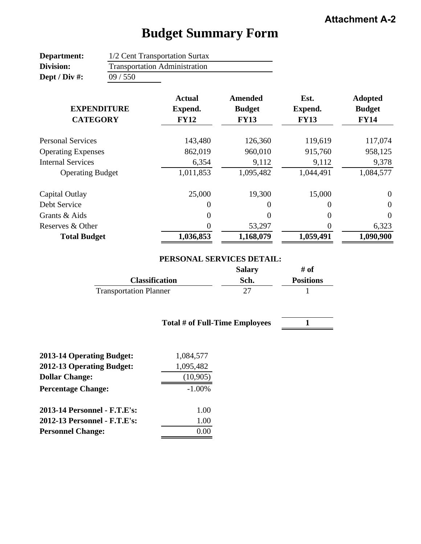#### **Department: Division: Dept / Div #: Actual Amended Est. Adopted Expend. Budget Expend. Budget FY12 FY13 FY13 FY14** 143,480 126,360 119,619 117,074 862,019 960,010 915,760 958,125 6,354 9,112 9,112 9,378 1,011,853 1,095,482 1,044,491 1,084,577 25,000 19,300 15,000 0 Debt Service 0000  $0$  0 0 0 0 53,297 0 6,323 **1,036,853 1,168,079 1,059,491 1,090,900** 1/2 Cent Transportation Surtax Transportation Administration **EXPENDITURE CATEGORY** Personal Services Operating Expenses **Total Budget** 09 / 550 Internal Services Operating Budget Capital Outlay Grants & Aids Reserves & Other

# **Budget Summary Form**

#### **PERSONAL SERVICES DETAIL:**

|                               | <b>Salary</b> | # of             |
|-------------------------------|---------------|------------------|
| <b>Classification</b>         | Sch.          | <b>Positions</b> |
| <b>Transportation Planner</b> |               |                  |

#### **Total # of Full-Time Employees**

**1**

| <b>2013-14 Operating Budget:</b> | 1,084,577 |
|----------------------------------|-----------|
| 2012-13 Operating Budget:        | 1,095,482 |
| <b>Dollar Change:</b>            | (10,905)  |
| <b>Percentage Change:</b>        | $-1.00\%$ |
| 2013-14 Personnel - F.T.E's:     | 1.00      |
| 2012-13 Personnel - F.T.E's:     | 1.00      |
| <b>Personnel Change:</b>         | 0.00      |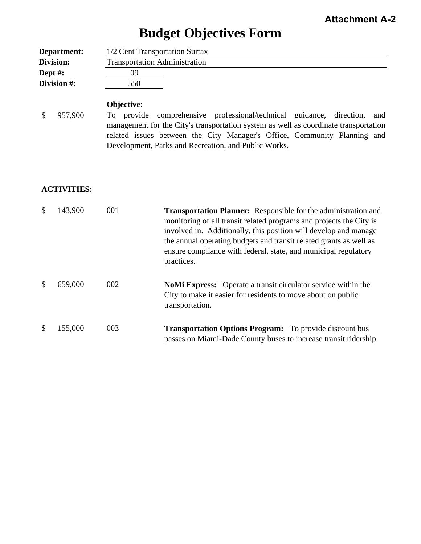# **Budget Objectives Form**

| Department: | 1/2 Cent Transportation Surtax       |
|-------------|--------------------------------------|
| Division:   | <b>Transportation Administration</b> |
| Dept $#$ :  | 09                                   |
| Division #: | 550                                  |

### **Objective:**

\$ 957,900

To provide comprehensive professional/technical guidance, direction, and management for the City's transportation system as well as coordinate transportation related issues between the City Manager's Office, Community Planning and Development, Parks and Recreation, and Public Works.

#### **ACTIVITIES:**

| \$            | 143,900 | 001 | <b>Transportation Planner:</b> Responsible for the administration and<br>monitoring of all transit related programs and projects the City is<br>involved in. Additionally, this position will develop and manage<br>the annual operating budgets and transit related grants as well as<br>ensure compliance with federal, state, and municipal regulatory<br>practices. |
|---------------|---------|-----|-------------------------------------------------------------------------------------------------------------------------------------------------------------------------------------------------------------------------------------------------------------------------------------------------------------------------------------------------------------------------|
| <sup>\$</sup> | 659,000 | 002 | <b>NoMi Express:</b> Operate a transit circulator service within the<br>City to make it easier for residents to move about on public<br>transportation.                                                                                                                                                                                                                 |
|               | 155,000 | 003 | <b>Transportation Options Program:</b> To provide discount bus<br>passes on Miami-Dade County buses to increase transit ridership.                                                                                                                                                                                                                                      |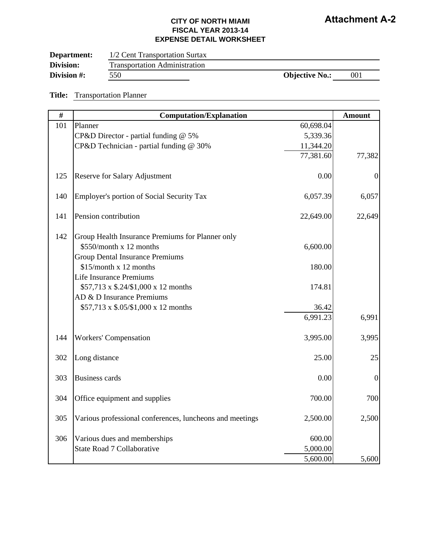| Department: | 1/2 Cent Transportation Surtax       |                       |     |
|-------------|--------------------------------------|-----------------------|-----|
| Division:   | <b>Transportation Administration</b> |                       |     |
| Division #: | 550                                  | <b>Objective No.:</b> | 001 |

#### **Title:** Transportation Planner

| #   | <b>Computation/Explanation</b>                           |           | <b>Amount</b>    |
|-----|----------------------------------------------------------|-----------|------------------|
| 101 | Planner                                                  | 60,698.04 |                  |
|     | CP&D Director - partial funding @ 5%                     | 5,339.36  |                  |
|     | CP&D Technician - partial funding @ 30%                  | 11,344.20 |                  |
|     |                                                          | 77,381.60 | 77,382           |
| 125 | <b>Reserve for Salary Adjustment</b>                     | 0.00      | $\boldsymbol{0}$ |
| 140 | Employer's portion of Social Security Tax                | 6,057.39  | 6,057            |
| 141 | Pension contribution                                     | 22,649.00 | 22,649           |
| 142 | Group Health Insurance Premiums for Planner only         |           |                  |
|     | \$550/month x 12 months                                  | 6,600.00  |                  |
|     | <b>Group Dental Insurance Premiums</b>                   |           |                  |
|     | \$15/month x 12 months                                   | 180.00    |                  |
|     | <b>Life Insurance Premiums</b>                           |           |                  |
|     | \$57,713 x \$.24/\$1,000 x 12 months                     | 174.81    |                  |
|     | AD & D Insurance Premiums                                |           |                  |
|     | \$57,713 x \$.05/\$1,000 x 12 months                     | 36.42     |                  |
|     |                                                          | 6,991.23  | 6,991            |
| 144 | <b>Workers' Compensation</b>                             | 3,995.00  | 3,995            |
| 302 | Long distance                                            | 25.00     | 25               |
| 303 | <b>Business cards</b>                                    | 0.00      | $\boldsymbol{0}$ |
| 304 | Office equipment and supplies                            | 700.00    | 700              |
| 305 | Various professional conferences, luncheons and meetings | 2,500.00  | 2,500            |
|     |                                                          |           |                  |
| 306 | Various dues and memberships                             | 600.00    |                  |
|     | <b>State Road 7 Collaborative</b>                        | 5,000.00  |                  |
|     |                                                          | 5,600.00  | 5,600            |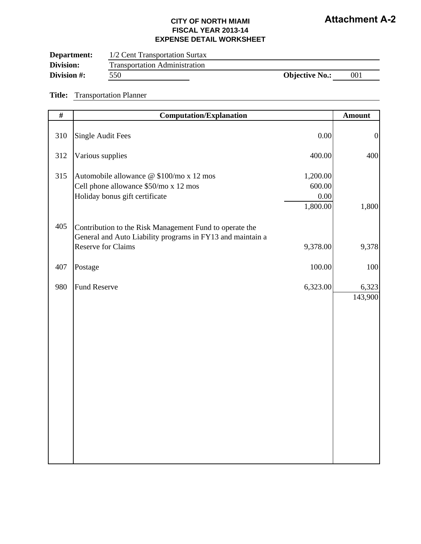| Department: | 1/2 Cent Transportation Surtax       |                       |     |
|-------------|--------------------------------------|-----------------------|-----|
| Division:   | <b>Transportation Administration</b> |                       |     |
| Division #: | 550                                  | <b>Objective No.:</b> | 001 |

#### **Title:** Transportation Planner

| $\overline{\#}$ | <b>Computation/Explanation</b>                                                                                                                     |                                        | <b>Amount</b>    |
|-----------------|----------------------------------------------------------------------------------------------------------------------------------------------------|----------------------------------------|------------------|
| 310             | <b>Single Audit Fees</b>                                                                                                                           | 0.00                                   | $\boldsymbol{0}$ |
| 312             | Various supplies                                                                                                                                   | 400.00                                 | 400              |
| 315             | Automobile allowance @ \$100/mo x 12 mos<br>Cell phone allowance \$50/mo x 12 mos<br>Holiday bonus gift certificate                                | 1,200.00<br>600.00<br>0.00<br>1,800.00 | 1,800            |
| 405             | Contribution to the Risk Management Fund to operate the<br>General and Auto Liability programs in FY13 and maintain a<br><b>Reserve for Claims</b> | 9,378.00                               | 9,378            |
| 407             | Postage                                                                                                                                            | 100.00                                 | 100              |
| 980             | <b>Fund Reserve</b>                                                                                                                                | 6,323.00                               | 6,323<br>143,900 |
|                 |                                                                                                                                                    |                                        |                  |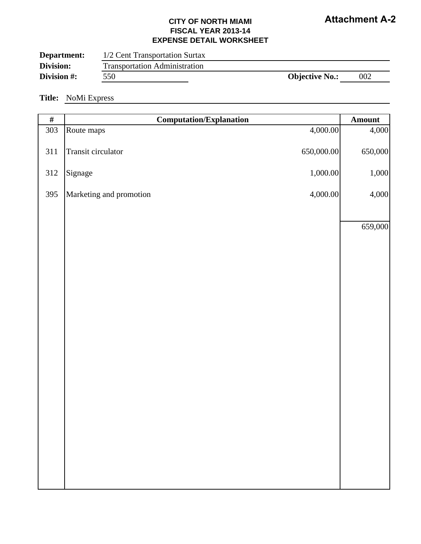### **CITY OF NORTH MIAMI FISCAL YEAR 2013-14 EXPENSE DETAIL WORKSHEET**

| Department: | 1/2 Cent Transportation Surtax       |                       |     |
|-------------|--------------------------------------|-----------------------|-----|
| Division:   | <b>Transportation Administration</b> |                       |     |
| Division #: | 550                                  | <b>Objective No.:</b> | 002 |

#### **Title:** NoMi Express

| $\#$ | <b>Computation/Explanation</b> |            | Amount  |
|------|--------------------------------|------------|---------|
| 303  | Route maps                     | 4,000.00   | 4,000   |
| 311  | Transit circulator             | 650,000.00 | 650,000 |
| 312  | Signage                        | 1,000.00   | 1,000   |
| 395  | Marketing and promotion        | 4,000.00   | 4,000   |
|      |                                |            |         |
|      |                                |            | 659,000 |
|      |                                |            |         |
|      |                                |            |         |
|      |                                |            |         |
|      |                                |            |         |
|      |                                |            |         |
|      |                                |            |         |
|      |                                |            |         |
|      |                                |            |         |
|      |                                |            |         |
|      |                                |            |         |
|      |                                |            |         |
|      |                                |            |         |
|      |                                |            |         |
|      |                                |            |         |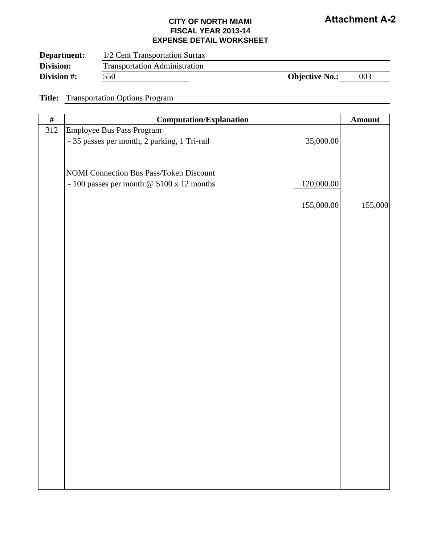### **CITY OF NORTH MIAMI FISCAL YEAR 2013-14 EXPENSE DETAIL WORKSHEET**

| Department:<br>Division: | 1/2 Cent Transportation Surtax<br><b>Transportation Administration</b> |                       |     |  |
|--------------------------|------------------------------------------------------------------------|-----------------------|-----|--|
| Division #:              | 550                                                                    | <b>Objective No.:</b> | 003 |  |

**Title:** Transportation Options Program

| $\#$ | <b>Computation/Explanation</b>                                                                     |            | Amount  |
|------|----------------------------------------------------------------------------------------------------|------------|---------|
| 312  | Employee Bus Pass Program                                                                          |            |         |
|      | - 35 passes per month, 2 parking, 1 Tri-rail                                                       | 35,000.00  |         |
|      |                                                                                                    |            |         |
|      |                                                                                                    |            |         |
|      | <b>NOMI Connection Bus Pass/Token Discount</b><br>- 100 passes per month @ $$100 \times 12$ months | 120,000.00 |         |
|      |                                                                                                    |            |         |
|      |                                                                                                    | 155,000.00 | 155,000 |
|      |                                                                                                    |            |         |
|      |                                                                                                    |            |         |
|      |                                                                                                    |            |         |
|      |                                                                                                    |            |         |
|      |                                                                                                    |            |         |
|      |                                                                                                    |            |         |
|      |                                                                                                    |            |         |
|      |                                                                                                    |            |         |
|      |                                                                                                    |            |         |
|      |                                                                                                    |            |         |
|      |                                                                                                    |            |         |
|      |                                                                                                    |            |         |
|      |                                                                                                    |            |         |
|      |                                                                                                    |            |         |
|      |                                                                                                    |            |         |
|      |                                                                                                    |            |         |
|      |                                                                                                    |            |         |
|      |                                                                                                    |            |         |
|      |                                                                                                    |            |         |
|      |                                                                                                    |            |         |
|      |                                                                                                    |            |         |
|      |                                                                                                    |            |         |
|      |                                                                                                    |            |         |
|      |                                                                                                    |            |         |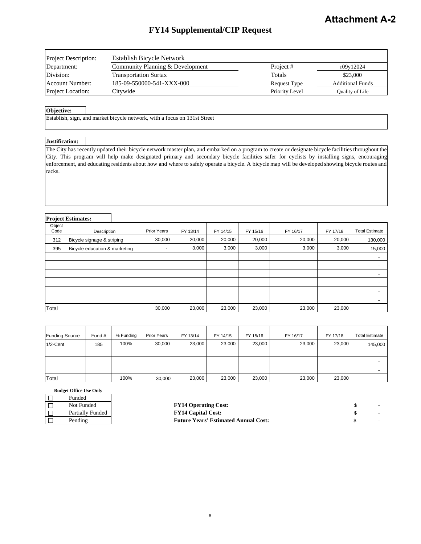# **FY14 Supplemental/CIP Request**

| Project Description:     | Establish Bicycle Network        |                     |                         |
|--------------------------|----------------------------------|---------------------|-------------------------|
| Department:              | Community Planning & Development | Project #           | r09v12024               |
| Division:                | <b>Transportation Surtax</b>     | Totals              | \$23,000                |
| Account Number:          | 185-09-550000-541-XXX-000        | <b>Request Type</b> | <b>Additional Funds</b> |
| <b>Project Location:</b> | Citvwide                         | Priority Level      | Quality of Life         |

#### **Objective:**

Establish, sign, and market bicycle network, with a focus on 131st Street

H

#### **Justification:**

The City has recently updated their bicycle network master plan, and embarked on a program to create or designate bicycle facilities throughout the City. This program will help make designated primary and secondary bicycle facilities safer for cyclists by installing signs, encouraging enforcement, and educating residents about how and where to safely operate a bicycle. A bicycle map will be developed showing bicycle routes and racks.

#### **Project Estimates:**

|                | 110JUU LOUINIUUS.             |             |          |          |          |          |          |                          |
|----------------|-------------------------------|-------------|----------|----------|----------|----------|----------|--------------------------|
| Object<br>Code | Description                   | Prior Years | FY 13/14 | FY 14/15 | FY 15/16 | FY 16/17 | FY 17/18 | <b>Total Estimate</b>    |
| 312            | Bicycle signage & striping    | 30,000      | 20,000   | 20,000   | 20,000   | 20,000   | 20,000   | 130,000                  |
| 395            | Bicycle education & marketing | $\sim$      | 3,000    | 3,000    | 3,000    | 3,000    | 3,000    | 15,000                   |
|                |                               |             |          |          |          |          |          | $\sim$                   |
|                |                               |             |          |          |          |          |          | $\overline{\phantom{0}}$ |
|                |                               |             |          |          |          |          |          |                          |
|                |                               |             |          |          |          |          |          | $\overline{\phantom{0}}$ |
|                |                               |             |          |          |          |          |          | $\overline{\phantom{0}}$ |
|                |                               |             |          |          |          |          |          |                          |
| Total          |                               | 30,000      | 23,000   | 23,000   | 23,000   | 23,000   | 23,000   |                          |

| <b>Funding Source</b> | Fund # | % Funding | <b>Prior Years</b> | FY 13/14 | FY 14/15 | FY 15/16 | FY 16/17 | FY 17/18 | <b>Total Estimate</b> |
|-----------------------|--------|-----------|--------------------|----------|----------|----------|----------|----------|-----------------------|
| $1/2$ -Cent           | 185    | 100%      | 30.000             | 23.000   | 23,000   | 23,000   | 23,000   | 23,000   | 145,000               |
|                       |        |           |                    |          |          |          |          |          |                       |
|                       |        |           |                    |          |          |          |          |          |                       |
|                       |        |           |                    |          |          |          |          |          |                       |
| Total                 |        | 100%      | 30,000             | 23,000   | 23,000   | 23,000   | 23,000   | 23,000   |                       |

|  | Funded                  |  |  |  |  |  |
|--|-------------------------|--|--|--|--|--|
|  | Not Funded              |  |  |  |  |  |
|  | <b>Partially Funded</b> |  |  |  |  |  |
|  | Pending                 |  |  |  |  |  |

| Not Funded       | <b>FY14 Operating Cost:</b>                 |  |
|------------------|---------------------------------------------|--|
| Partially Funded | <b>FY14 Capital Cost:</b>                   |  |
| Pending          | <b>Future Years' Estimated Annual Cost:</b> |  |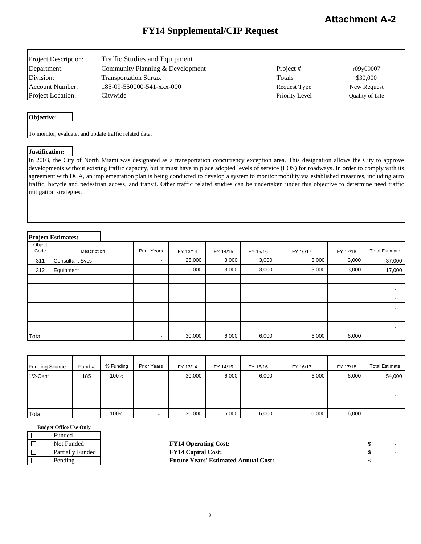# **FY14 Supplemental/CIP Request**

| <b>Project Description:</b> | <b>Traffic Studies and Equipment</b> |                |                 |  |  |  |  |  |
|-----------------------------|--------------------------------------|----------------|-----------------|--|--|--|--|--|
| Department:                 | Community Planning & Development     | Project #      | r09y09007       |  |  |  |  |  |
| Division:                   | <b>Transportation Surtax</b>         | Totals         | \$30,000        |  |  |  |  |  |
| Account Number:             | 185-09-550000-541-xxx-000            | Request Type   | New Request     |  |  |  |  |  |
| <b>Project Location:</b>    | Citvwide                             | Priority Level | Quality of Life |  |  |  |  |  |

#### **Objective:**

To monitor, evaluate, and update traffic related data.

#### **Justification:**

In 2003, the City of North Miami was designated as a transportation concurrency exception area. This designation allows the City to approve developments without existing traffic capacity, but it must have in place adopted levels of service (LOS) for roadways. In order to comply with its agreement with DCA, an implementation plan is being conducted to develop a system to monitor mobility via established measures, including auto traffic, bicycle and pedestrian access, and transit. Other traffic related studies can be undertaken under this objective to determine need traffic mitigation strategies.

#### **Project Estimates:**

| $-$            |                        |                          |          |          |          |          |          |                          |
|----------------|------------------------|--------------------------|----------|----------|----------|----------|----------|--------------------------|
| Object<br>Code | Description            | <b>Prior Years</b>       | FY 13/14 | FY 14/15 | FY 15/16 | FY 16/17 | FY 17/18 | <b>Total Estimate</b>    |
| 311            | <b>Consultant Svcs</b> | $\overline{\phantom{a}}$ | 25,000   | 3,000    | 3,000    | 3,000    | 3,000    | 37,000                   |
| 312            | Equipment              |                          | 5,000    | 3,000    | 3,000    | 3,000    | 3,000    | 17,000                   |
|                |                        |                          |          |          |          |          |          | $\overline{\phantom{a}}$ |
|                |                        |                          |          |          |          |          |          |                          |
|                |                        |                          |          |          |          |          |          |                          |
|                |                        |                          |          |          |          |          |          |                          |
|                |                        |                          |          |          |          |          |          |                          |
|                |                        |                          |          |          |          |          |          | $\overline{\phantom{0}}$ |
| Total          |                        | $\overline{\phantom{a}}$ | 30,000   | 6,000    | 6,000    | 6,000    | 6,000    |                          |

| <b>Funding Source</b> | Fund # | % Funding | <b>Prior Years</b> | FY 13/14 | FY 14/15 | FY 15/16 | FY 16/17 | FY 17/18 | <b>Total Estimate</b> |
|-----------------------|--------|-----------|--------------------|----------|----------|----------|----------|----------|-----------------------|
| $1/2$ -Cent           | 185    | 100%      | -                  | 30,000   | 6,000    | 6,000    | 6,000    | 6,000    | 54,000                |
|                       |        |           |                    |          |          |          |          |          |                       |
|                       |        |           |                    |          |          |          |          |          |                       |
|                       |        |           |                    |          |          |          |          |          |                       |
| Total                 |        | 100%      |                    | 30,000   | 6,000    | 6,000    | 6,000    | 6,000    |                       |

| Funded                  |
|-------------------------|
| Not Funded              |
| <b>Partially Funded</b> |
| Pending                 |

| Not Funded       | <b>FY14 Operating Cost:</b>                 |  |
|------------------|---------------------------------------------|--|
| Partially Funded | <b>FY14 Capital Cost:</b>                   |  |
| Pending          | <b>Future Years' Estimated Annual Cost:</b> |  |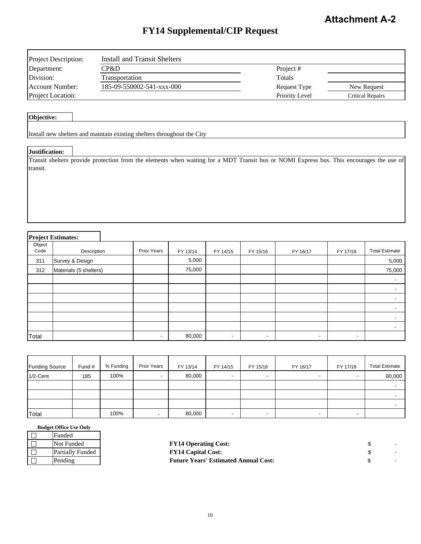# **FY14 Supplemental/CIP Request**

| <b>Project Description:</b> | Install and Transit Shelters |                |                  |
|-----------------------------|------------------------------|----------------|------------------|
| Department:                 | CP&D                         | Project #      |                  |
| Division:                   | Transportation               | Totals         |                  |
| Account Number:             | 185-09-550002-541-xxx-000    | Request Type   | New Request      |
| <b>Project Location:</b>    |                              | Priority Level | Critical Repairs |

#### **Objective:**

Install new shelters and maintain existing shelters throughout the City

#### **Justification:**

Transit shelters provide protection from the elements when waiting for a MDT Transit bus or NOMI Express bus. This encourages the use of transit.

#### **Project Estimates:**

| $\sim$         |                        |                          |          |                          |                          |                          |                          |                       |
|----------------|------------------------|--------------------------|----------|--------------------------|--------------------------|--------------------------|--------------------------|-----------------------|
| Object<br>Code | Description            | Prior Years              | FY 13/14 | FY 14/15                 | FY 15/16                 | FY 16/17                 | FY 17/18                 | <b>Total Estimate</b> |
| 311            | Survey & Design        |                          | 5,000    |                          |                          |                          |                          | 5,000                 |
| 312            | Materials (5 shelters) |                          | 75,000   |                          |                          |                          |                          | 75,000                |
|                |                        |                          |          |                          |                          |                          |                          |                       |
|                |                        |                          |          |                          |                          |                          |                          |                       |
|                |                        |                          |          |                          |                          |                          |                          |                       |
|                |                        |                          |          |                          |                          |                          |                          |                       |
|                |                        |                          |          |                          |                          |                          |                          |                       |
|                |                        |                          |          |                          |                          |                          |                          |                       |
| Total          |                        | $\overline{\phantom{a}}$ | 80,000   | $\overline{\phantom{a}}$ | $\overline{\phantom{a}}$ | $\overline{\phantom{a}}$ | $\overline{\phantom{a}}$ |                       |

| <b>Funding Source</b> | Fund # | % Funding | <b>Prior Years</b> | FY 13/14 | FY 14/15                 | FY 15/16                 | FY 16/17                 | FY 17/18                 | <b>Total Estimate</b> |
|-----------------------|--------|-----------|--------------------|----------|--------------------------|--------------------------|--------------------------|--------------------------|-----------------------|
| $1/2$ -Cent           | 185    | 100%      | -                  | 80,000   | $\overline{\phantom{a}}$ | ۰                        | ۰                        |                          | 80,000                |
|                       |        |           |                    |          |                          |                          |                          |                          |                       |
|                       |        |           |                    |          |                          |                          |                          |                          |                       |
|                       |        |           |                    |          |                          |                          |                          |                          |                       |
| Total                 |        | 100%      |                    | 80,000   | $\overline{\phantom{a}}$ | $\overline{\phantom{a}}$ | $\overline{\phantom{a}}$ | $\overline{\phantom{a}}$ |                       |

| Funded                  |
|-------------------------|
| Not Funded              |
| <b>Partially Funded</b> |
| Pending                 |

| Not Funded       | <b>FY14 Operating Cost:</b>                 |  |
|------------------|---------------------------------------------|--|
| Partially Funded | <b>FY14 Capital Cost:</b>                   |  |
| Pending          | <b>Future Years' Estimated Annual Cost:</b> |  |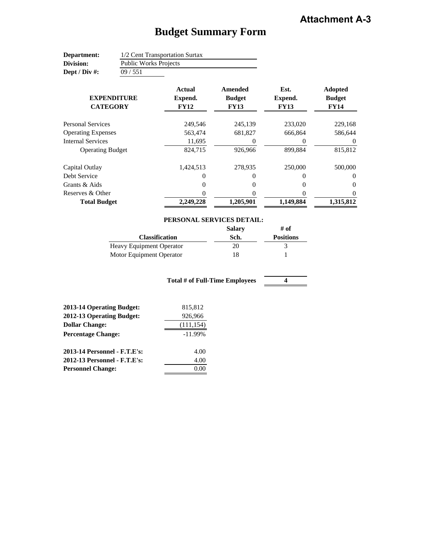# **Budget Summary Form**

| Department:       | 1/2 Cent Transportation Surtax |
|-------------------|--------------------------------|
| Division:         | <b>Public Works Projects</b>   |
| Dept / Div $\#$ : | 09/551                         |

| <b>EXPENDITURE</b><br><b>CATEGORY</b> | <b>Actual</b><br>Expend.<br><b>FY12</b> | Amended<br><b>Budget</b><br><b>FY13</b> | Est.<br>Expend.<br><b>FY13</b> | <b>Adopted</b><br><b>Budget</b><br><b>FY14</b> |
|---------------------------------------|-----------------------------------------|-----------------------------------------|--------------------------------|------------------------------------------------|
| <b>Personal Services</b>              | 249.546                                 | 245,139                                 | 233,020                        | 229,168                                        |
| <b>Operating Expenses</b>             | 563,474                                 | 681,827                                 | 666.864                        | 586,644                                        |
| <b>Internal Services</b>              | 11,695                                  | 0                                       | $_{0}$                         | $\theta$                                       |
| <b>Operating Budget</b>               | 824,715                                 | 926,966                                 | 899,884                        | 815,812                                        |
| Capital Outlay                        | 1,424,513                               | 278,935                                 | 250,000                        | 500,000                                        |
| Debt Service                          | 0                                       | 0                                       | 0                              | $\Omega$                                       |
| Grants & Aids                         | 0                                       | 0                                       | 0                              | $\Omega$                                       |
| Reserves & Other                      | 0                                       | 0                                       |                                | $\Omega$                                       |
| <b>Total Budget</b>                   | 2,249,228                               | 1,205,901                               | 1,149,884                      | 1,315,812                                      |

| PERSONAL SERVICES DETAIL:   |
|-----------------------------|
| $\mathbf{C}$ . $\mathbf{L}$ |

|                                 | <b>Salary</b> | # of             |
|---------------------------------|---------------|------------------|
| <b>Classification</b>           | Sch.          | <b>Positions</b> |
| <b>Heavy Equipment Operator</b> | 20            |                  |
| Motor Equipment Operator        | 18            |                  |

**4 Total # of Full-Time Employees**

| 2013-14 Operating Budget:    | 815,812    |
|------------------------------|------------|
| 2012-13 Operating Budget:    | 926,966    |
| <b>Dollar Change:</b>        | (111, 154) |
| <b>Percentage Change:</b>    | $-11.99%$  |
| 2013-14 Personnel - F.T.E's: | 4.00       |
| 2012-13 Personnel - F.T.E's: | 4.00       |
| <b>Personnel Change:</b>     |            |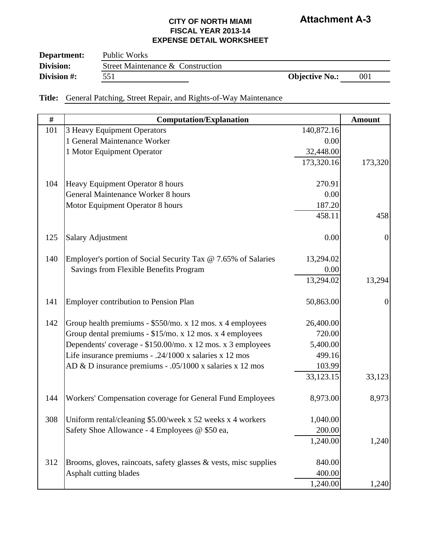| Department: | Public Works                      |                       |     |  |
|-------------|-----------------------------------|-----------------------|-----|--|
| Division:   | Street Maintenance & Construction |                       |     |  |
| Division #: | 551                               | <b>Objective No.:</b> | 001 |  |

**Title:** General Patching, Street Repair, and Rights-of-Way Maintenance

| $\#$ | <b>Computation/Explanation</b>                                   |            | <b>Amount</b>  |
|------|------------------------------------------------------------------|------------|----------------|
| 101  | 3 Heavy Equipment Operators                                      | 140,872.16 |                |
|      | 1 General Maintenance Worker                                     | 0.00       |                |
|      | 1 Motor Equipment Operator                                       | 32,448.00  |                |
|      |                                                                  | 173,320.16 | 173,320        |
|      |                                                                  |            |                |
| 104  | Heavy Equipment Operator 8 hours                                 | 270.91     |                |
|      | <b>General Maintenance Worker 8 hours</b>                        | 0.00       |                |
|      | Motor Equipment Operator 8 hours                                 | 187.20     |                |
|      |                                                                  | 458.11     | 458            |
| 125  | <b>Salary Adjustment</b>                                         | 0.00       | $\overline{0}$ |
|      |                                                                  |            |                |
| 140  | Employer's portion of Social Security Tax @ 7.65% of Salaries    | 13,294.02  |                |
|      | Savings from Flexible Benefits Program                           | 0.00       |                |
|      |                                                                  | 13,294.02  | 13,294         |
| 141  | <b>Employer contribution to Pension Plan</b>                     | 50,863.00  | $\overline{0}$ |
| 142  | Group health premiums - \$550/mo. x 12 mos. x 4 employees        | 26,400.00  |                |
|      | Group dental premiums - \$15/mo. x 12 mos. x 4 employees         | 720.00     |                |
|      | Dependents' coverage - \$150.00/mo. x 12 mos. x 3 employees      | 5,400.00   |                |
|      | Life insurance premiums - .24/1000 x salaries x 12 mos           | 499.16     |                |
|      | AD & D insurance premiums - .05/1000 x salaries x 12 mos         | 103.99     |                |
|      |                                                                  | 33,123.15  | 33,123         |
| 144  | Workers' Compensation coverage for General Fund Employees        | 8,973.00   | 8,973          |
| 308  | Uniform rental/cleaning \$5.00/week x 52 weeks x 4 workers       | 1,040.00   |                |
|      | Safety Shoe Allowance - 4 Employees @ \$50 ea,                   | 200.00     |                |
|      |                                                                  | 1,240.00   | 1,240          |
|      |                                                                  |            |                |
| 312  | Brooms, gloves, raincoats, safety glasses & vests, misc supplies | 840.00     |                |
|      | Asphalt cutting blades                                           | 400.00     |                |
|      |                                                                  | 1,240.00   | 1,240          |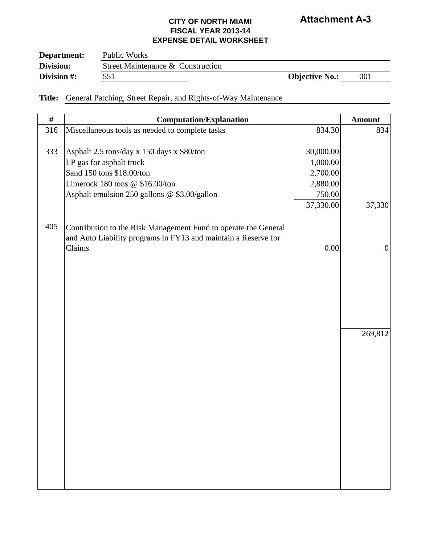| Department: | Public Works                      |                       |     |
|-------------|-----------------------------------|-----------------------|-----|
| Division:   | Street Maintenance & Construction |                       |     |
| Division #: | 551                               | <b>Objective No.:</b> | 001 |

**Title:** General Patching, Street Repair, and Rights-of-Way Maintenance

| #   | <b>Computation/Explanation</b>                                  |           | <b>Amount</b>  |
|-----|-----------------------------------------------------------------|-----------|----------------|
| 316 | Miscellaneous tools as needed to complete tasks                 | 834.30    | 834            |
|     |                                                                 |           |                |
| 333 | Asphalt 2.5 tons/day x 150 days x \$80/ton                      | 30,000.00 |                |
|     | LP gas for asphalt truck                                        | 1,000.00  |                |
|     | Sand 150 tons \$18.00/ton                                       | 2,700.00  |                |
|     | Limerock 180 tons @ \$16.00/ton                                 | 2,880.00  |                |
|     | Asphalt emulsion 250 gallons @ \$3.00/gallon                    | 750.00    |                |
|     |                                                                 | 37,330.00 | 37,330         |
| 405 | Contribution to the Risk Management Fund to operate the General |           |                |
|     | and Auto Liability programs in FY13 and maintain a Reserve for  |           |                |
|     | Claims                                                          | 0.00      | $\overline{0}$ |
|     |                                                                 |           |                |
|     |                                                                 |           |                |
|     |                                                                 |           |                |
|     |                                                                 |           |                |
|     |                                                                 |           |                |
|     |                                                                 |           |                |
|     |                                                                 |           | 269,812        |
|     |                                                                 |           |                |
|     |                                                                 |           |                |
|     |                                                                 |           |                |
|     |                                                                 |           |                |
|     |                                                                 |           |                |
|     |                                                                 |           |                |
|     |                                                                 |           |                |
|     |                                                                 |           |                |
|     |                                                                 |           |                |
|     |                                                                 |           |                |
|     |                                                                 |           |                |
|     |                                                                 |           |                |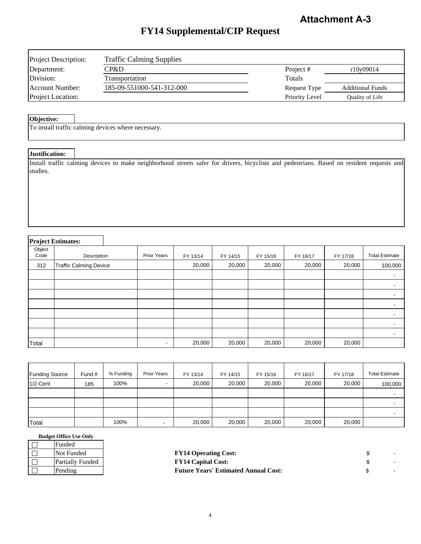# **FY14 Supplemental/CIP Request**

| <b>Project Description:</b> | <b>Traffic Calming Supplies</b> |                     |                         |
|-----------------------------|---------------------------------|---------------------|-------------------------|
| Department:                 | CP&D                            | Project #           | r10y09014               |
| Division:                   | Transportation                  | Totals              |                         |
| Account Number:             | 185-09-551000-541-312-000       | <b>Request Type</b> | <b>Additional Funds</b> |
| <b>Project Location:</b>    |                                 | Priority Level      | Quality of Life         |

#### **Objective:**

To install traffic calming devices where necessary.

#### **Justification:**

Install traffic calming devices to make neighborhood streets safer for drivers, bicyclists and pedestrians. Based on resident requests and studies.

### **Project Estimates:**

| $\cdot$<br>Object<br>Code | Description                   | <b>Prior Years</b>       | FY 13/14 | FY 14/15 | FY 15/16 | FY 16/17 | FY 17/18 | <b>Total Estimate</b>    |
|---------------------------|-------------------------------|--------------------------|----------|----------|----------|----------|----------|--------------------------|
| 312                       | <b>Traffic Calming Device</b> |                          | 20,000   | 20,000   | 20,000   | 20,000   | 20,000   | 100,000                  |
|                           |                               |                          |          |          |          |          |          | $\overline{\phantom{a}}$ |
|                           |                               |                          |          |          |          |          |          | $\overline{\phantom{a}}$ |
|                           |                               |                          |          |          |          |          |          | $\overline{\phantom{a}}$ |
|                           |                               |                          |          |          |          |          |          |                          |
|                           |                               |                          |          |          |          |          |          |                          |
|                           |                               |                          |          |          |          |          |          |                          |
|                           |                               |                          |          |          |          |          |          |                          |
| Total                     |                               | $\overline{\phantom{a}}$ | 20,000   | 20,000   | 20,000   | 20,000   | 20,000   |                          |

| <b>Funding Source</b> | Fund # | % Funding | <b>Prior Years</b>       | FY 13/14 | FY 14/15 | FY 15/16 | FY 16/17 | FY 17/18 | <b>Total Estimate</b> |
|-----------------------|--------|-----------|--------------------------|----------|----------|----------|----------|----------|-----------------------|
| $1/2$ -Cent           | 185    | 100%      |                          | 20,000   | 20,000   | 20,000   | 20,000   | 20,000   | 100,000               |
|                       |        |           |                          |          |          |          |          |          |                       |
|                       |        |           |                          |          |          |          |          |          |                       |
|                       |        |           |                          |          |          |          |          |          |                       |
| Total                 |        | 100%      | $\overline{\phantom{a}}$ | 20,000   | 20,000   | 20,000   | 20,000   | 20,000   |                       |

| Funded                  |
|-------------------------|
| Not Funded              |
| <b>Partially Funded</b> |
| Pending                 |

| Not Funded       | <b>FY14 Operating Cost:</b>                 |  |
|------------------|---------------------------------------------|--|
| Partially Funded | <b>FY14 Capital Cost:</b>                   |  |
| Pending          | <b>Future Years' Estimated Annual Cost:</b> |  |
|                  |                                             |  |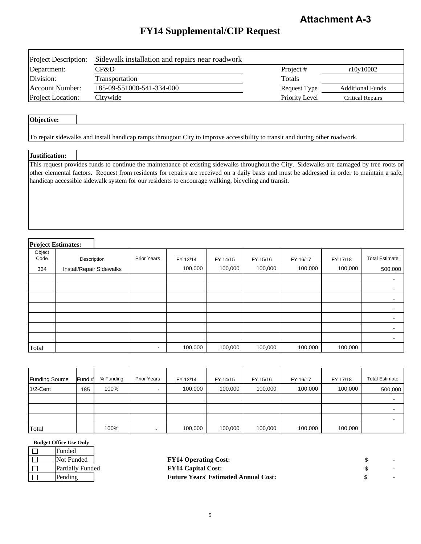# **FY14 Supplemental/CIP Request**

| <b>Project Description:</b> | Sidewalk installation and repairs near roadwork |                |                         |
|-----------------------------|-------------------------------------------------|----------------|-------------------------|
| Department:                 | CP&D                                            | Project #      | r10y10002               |
| Division:                   | <b>Transportation</b>                           | Totals         |                         |
| <b>Account Number:</b>      | 185-09-551000-541-334-000                       | Request Type   | <b>Additional Funds</b> |
| <b>Project Location:</b>    | Citywide                                        | Priority Level | Critical Repairs        |

#### **Objective:**

To repair sidewalks and install handicap ramps througout City to improve accessibility to transit and during other roadwork.

#### **Justification:**

This request provides funds to continue the maintenance of existing sidewalks throughout the City. Sidewalks are damaged by tree roots or other elemental factors. Request from residents for repairs are received on a daily basis and must be addressed in order to maintain a safe, handicap accessible sidewalk system for our residents to encourage walking, bicycling and transit.

#### **Project Estimates:** ┑

|                | <b>Froject Esumates:</b> |                          |          |          |          |          |          |                          |
|----------------|--------------------------|--------------------------|----------|----------|----------|----------|----------|--------------------------|
| Object<br>Code | Description              | <b>Prior Years</b>       | FY 13/14 | FY 14/15 | FY 15/16 | FY 16/17 | FY 17/18 | <b>Total Estimate</b>    |
| 334            | Install/Repair Sidewalks |                          | 100,000  | 100,000  | 100,000  | 100,000  | 100,000  | 500,000                  |
|                |                          |                          |          |          |          |          |          | $\overline{\phantom{a}}$ |
|                |                          |                          |          |          |          |          |          | $\overline{\phantom{0}}$ |
|                |                          |                          |          |          |          |          |          | $\overline{\phantom{a}}$ |
|                |                          |                          |          |          |          |          |          | $\overline{\phantom{0}}$ |
|                |                          |                          |          |          |          |          |          | $\overline{\phantom{a}}$ |
|                |                          |                          |          |          |          |          |          | $\overline{\phantom{0}}$ |
|                |                          |                          |          |          |          |          |          | $\overline{\phantom{a}}$ |
| Total          |                          | $\overline{\phantom{a}}$ | 100,000  | 100,000  | 100,000  | 100,000  | 100,000  |                          |

| <b>Funding Source</b> | Fund # | % Funding | <b>Prior Years</b> | FY 13/14 | FY 14/15 | FY 15/16 | FY 16/17 | FY 17/18 | <b>Total Estimate</b> |
|-----------------------|--------|-----------|--------------------|----------|----------|----------|----------|----------|-----------------------|
| $1/2$ -Cent           | 185    | 100%      |                    | 100,000  | 100,000  | 100,000  | 100,000  | 100,000  | 500,000               |
|                       |        |           |                    |          |          |          |          |          |                       |
|                       |        |           |                    |          |          |          |          |          |                       |
|                       |        |           |                    |          |          |          |          |          |                       |
| Total                 |        | 100%      | $\blacksquare$     | 100,000  | 100,000  | 100,000  | 100,000  | 100,000  |                       |

| Funded                  |  |
|-------------------------|--|
| Not Funded              |  |
| <b>Partially Funded</b> |  |
| Pending                 |  |
|                         |  |

| Not Funded       | <b>FY14 Operating Cost:</b>                 |  |
|------------------|---------------------------------------------|--|
| Partially Funded | <b>FY14 Capital Cost:</b>                   |  |
| Pending          | <b>Future Years' Estimated Annual Cost:</b> |  |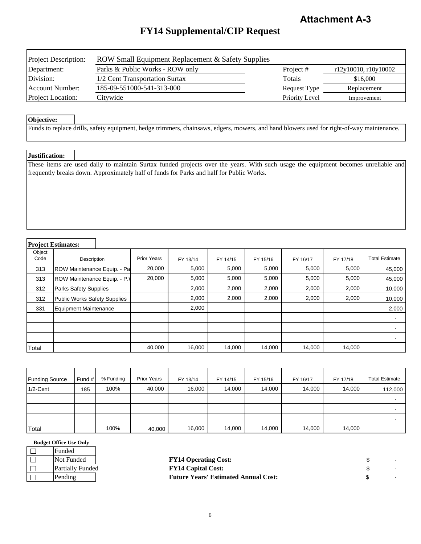# **FY14 Supplemental/CIP Request**

| <b>Project Description:</b> | ROW Small Equipment Replacement & Safety Supplies |                |                      |
|-----------------------------|---------------------------------------------------|----------------|----------------------|
| Department:                 | Parks & Public Works - ROW only                   | Project #      | r12y10010, r10y10002 |
| Division:                   | 1/2 Cent Transportation Surtax                    | Totals         | \$16,000             |
| Account Number:             | 185-09-551000-541-313-000                         | Request Type   | Replacement          |
| <b>Project Location:</b>    | Citywide                                          | Priority Level | Improvement          |

#### **Objective:**

Funds to replace drills, safety equipment, hedge trimmers, chainsaws, edgers, mowers, and hand blowers used for right-of-way maintenance.

#### **Justification:**

These items are used daily to maintain Surtax funded projects over the years. With such usage the equipment becomes unreliable and frequently breaks down. Approximately half of funds for Parks and half for Public Works.

### **Project Estimates:**

| Object<br>Code | Description                  | <b>Prior Years</b> | FY 13/14 | FY 14/15 | FY 15/16 | FY 16/17 | FY 17/18 | <b>Total Estimate</b>    |
|----------------|------------------------------|--------------------|----------|----------|----------|----------|----------|--------------------------|
| 313            | ROW Maintenance Equip. - Pa  | 20,000             | 5,000    | 5,000    | 5,000    | 5,000    | 5,000    | 45,000                   |
| 313            | ROW Maintenance Equip. - P.V | 20,000             | 5,000    | 5,000    | 5,000    | 5,000    | 5,000    | 45,000                   |
| 312            | <b>Parks Safety Supplies</b> |                    | 2,000    | 2,000    | 2,000    | 2,000    | 2,000    | 10,000                   |
| 312            | Public Works Safety Supplies |                    | 2,000    | 2,000    | 2,000    | 2,000    | 2,000    | 10,000                   |
| 331            | Equipment Maintenance        |                    | 2,000    |          |          |          |          | 2,000                    |
|                |                              |                    |          |          |          |          |          | $\overline{\phantom{a}}$ |
|                |                              |                    |          |          |          |          |          |                          |
|                |                              |                    |          |          |          |          |          |                          |
| Total          |                              | 40,000             | 16,000   | 14,000   | 14,000   | 14,000   | 14,000   |                          |

| <b>Funding Source</b> | Fund $#$ | % Funding | <b>Prior Years</b> | FY 13/14 | FY 14/15 | FY 15/16 | FY 16/17 | FY 17/18 | <b>Total Estimate</b> |
|-----------------------|----------|-----------|--------------------|----------|----------|----------|----------|----------|-----------------------|
| $1/2$ -Cent           | 185      | 100%      | 40,000             | 16,000   | 14,000   | 14,000   | 14,000   | 14,000   | 112,000               |
|                       |          |           |                    |          |          |          |          |          |                       |
|                       |          |           |                    |          |          |          |          |          |                       |
|                       |          |           |                    |          |          |          |          |          |                       |
| Total                 |          | 100%      | 40,000             | 16,000   | 14,000   | 14,000   | 14,000   | 14,000   |                       |

| <b>Budget Office Use Only</b> |  |
|-------------------------------|--|
|-------------------------------|--|

| Funded           |
|------------------|
| Not Funded       |
| Partially Funded |
| Pending          |

| Not Funded       | <b>FY14 Operating Cost:</b>                 |  |
|------------------|---------------------------------------------|--|
| Partially Funded | <b>FY14 Capital Cost:</b>                   |  |
| Pending          | <b>Future Years' Estimated Annual Cost:</b> |  |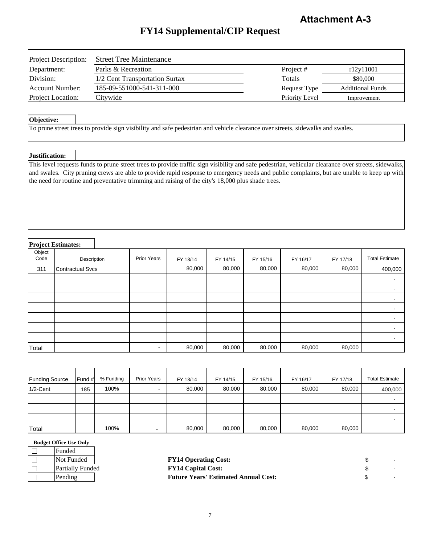# **FY14 Supplemental/CIP Request**

| <b>Project Description:</b> | <b>Street Tree Maintenance</b> |                |                         |
|-----------------------------|--------------------------------|----------------|-------------------------|
| Department:                 | Parks & Recreation             | Project #      | r12y11001               |
| Division:                   | 1/2 Cent Transportation Surtax | Totals         | \$80,000                |
| Account Number:             | 185-09-551000-541-311-000      | Request Type   | <b>Additional Funds</b> |
| <b>Project Location:</b>    | Citywide                       | Priority Level | Improvement             |

#### **Objective:**

To prune street trees to provide sign visibility and safe pedestrian and vehicle clearance over streets, sidewalks and swales.

#### **Justification:**

This level requests funds to prune street trees to provide traffic sign visibility and safe pedestrian, vehicular clearance over streets, sidewalks, and swales. City pruning crews are able to provide rapid response to emergency needs and public complaints, but are unable to keep up with the need for routine and preventative trimming and raising of the city's 18,000 plus shade trees.

### **Project Estimates:**

|                | - -J--- <del>------------</del> |                    |          |          |          |          |          |                          |
|----------------|---------------------------------|--------------------|----------|----------|----------|----------|----------|--------------------------|
| Object<br>Code | Description                     | <b>Prior Years</b> | FY 13/14 | FY 14/15 | FY 15/16 | FY 16/17 | FY 17/18 | <b>Total Estimate</b>    |
| 311            | <b>Contractual Svcs</b>         |                    | 80,000   | 80,000   | 80,000   | 80,000   | 80,000   | 400,000                  |
|                |                                 |                    |          |          |          |          |          | $\blacksquare$           |
|                |                                 |                    |          |          |          |          |          | $\,$ $\,$                |
|                |                                 |                    |          |          |          |          |          |                          |
|                |                                 |                    |          |          |          |          |          | $\overline{\phantom{0}}$ |
|                |                                 |                    |          |          |          |          |          |                          |
|                |                                 |                    |          |          |          |          |          |                          |
|                |                                 |                    |          |          |          |          |          |                          |
| Total          |                                 | $\blacksquare$     | 80,000   | 80,000   | 80,000   | 80,000   | 80,000   |                          |

| <b>Funding Source</b> | Fund # | % Funding | <b>Prior Years</b> | FY 13/14 | FY 14/15 | FY 15/16 | FY 16/17 | FY 17/18 | <b>Total Estimate</b> |
|-----------------------|--------|-----------|--------------------|----------|----------|----------|----------|----------|-----------------------|
| $1/2$ -Cent           | 185    | 100%      | $\blacksquare$     | 80,000   | 80,000   | 80,000   | 80,000   | 80,000   | 400,000               |
|                       |        |           |                    |          |          |          |          |          |                       |
|                       |        |           |                    |          |          |          |          |          |                       |
|                       |        |           |                    |          |          |          |          |          |                       |
| Total                 |        | 100%      | $\sim$             | 80,000   | 80,000   | 80,000   | 80,000   | 80,000   |                       |

| Funded           |  |
|------------------|--|
| Not Funded       |  |
| Partially Funded |  |
| Pending          |  |

| Not Funded       | <b>FY14 Operating Cost:</b>                 |  |
|------------------|---------------------------------------------|--|
| Partially Funded | <b>FY14 Capital Cost:</b>                   |  |
| Pending          | <b>Future Years' Estimated Annual Cost:</b> |  |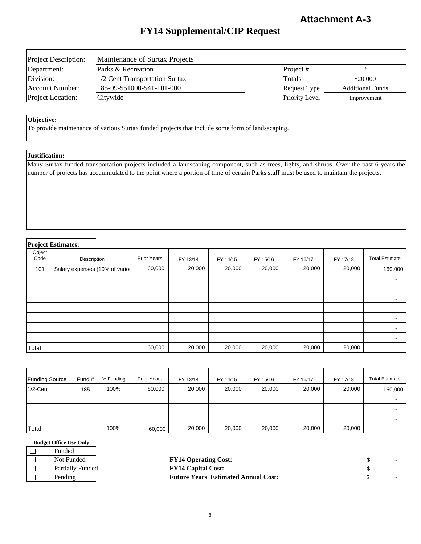# **FY14 Supplemental/CIP Request**

| <b>Project Description:</b> | Maintenance of Surtax Projects |                     |                         |
|-----------------------------|--------------------------------|---------------------|-------------------------|
| Department:                 | Parks & Recreation             | Project#            |                         |
| Division:                   | 1/2 Cent Transportation Surtax | Totals              | \$20,000                |
| Account Number:             | 185-09-551000-541-101-000      | <b>Request Type</b> | <b>Additional Funds</b> |
| <b>Project Location:</b>    | Citywide                       | Priority Level      | Improvement             |

#### **Objective:**

To provide maintenance of various Surtax funded projects that include some form of landsacaping.

#### **Justification:**

Many Surtax funded transportation projects included a landscaping component, such as trees, lights, and shrubs. Over the past 6 years the number of projects has accummulated to the point where a portion of time of certain Parks staff must be used to maintain the projects.

#### **Project Estimates:**

| Object<br>Code | Description                    | <b>Prior Years</b> | FY 13/14 | FY 14/15 | FY 15/16 | FY 16/17 | FY 17/18 | <b>Total Estimate</b>    |
|----------------|--------------------------------|--------------------|----------|----------|----------|----------|----------|--------------------------|
| 101            | Salary expenses (10% of variou | 60,000             | 20,000   | 20,000   | 20,000   | 20,000   | 20,000   | 160,000                  |
|                |                                |                    |          |          |          |          |          | $\overline{\phantom{a}}$ |
|                |                                |                    |          |          |          |          |          | $\overline{\phantom{a}}$ |
|                |                                |                    |          |          |          |          |          |                          |
|                |                                |                    |          |          |          |          |          | $\overline{\phantom{a}}$ |
|                |                                |                    |          |          |          |          |          |                          |
|                |                                |                    |          |          |          |          |          | $\overline{\phantom{0}}$ |
|                |                                |                    |          |          |          |          |          | $\overline{\phantom{a}}$ |
| Total          |                                | 60,000             | 20,000   | 20,000   | 20,000   | 20,000   | 20,000   |                          |

| <b>Funding Source</b> | Fund $#$ | % Funding | <b>Prior Years</b> | FY 13/14 | FY 14/15 | FY 15/16 | FY 16/17 | FY 17/18 | <b>Total Estimate</b> |
|-----------------------|----------|-----------|--------------------|----------|----------|----------|----------|----------|-----------------------|
| $1/2$ -Cent           | 185      | 100%      | 60,000             | 20,000   | 20,000   | 20,000   | 20,000   | 20,000   | 160,000               |
|                       |          |           |                    |          |          |          |          |          |                       |
|                       |          |           |                    |          |          |          |          |          |                       |
|                       |          |           |                    |          |          |          |          |          |                       |
| Total                 |          | 100%      | 60,000             | 20,000   | 20,000   | 20,000   | 20,000   | 20,000   |                       |

| Funded                  |
|-------------------------|
| Not Funded              |
| <b>Partially Funded</b> |
| Pending                 |

| Not Funded       | <b>FY14 Operating Cost:</b>                 |  |
|------------------|---------------------------------------------|--|
| Partially Funded | <b>FY14 Capital Cost:</b>                   |  |
| Pending          | <b>Future Years' Estimated Annual Cost:</b> |  |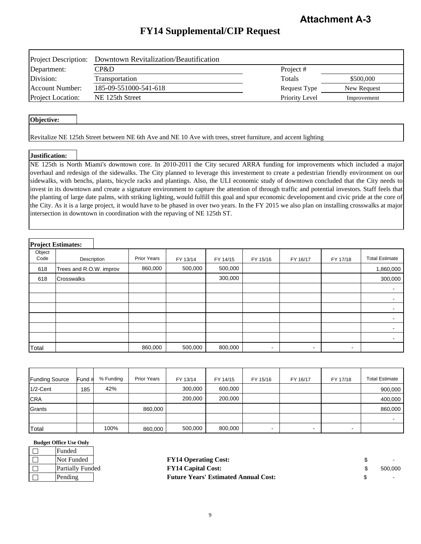# **FY14 Supplemental/CIP Request**

| <b>Project Description:</b> | Downtown Revitalization/Beautification |                |             |
|-----------------------------|----------------------------------------|----------------|-------------|
| Department:                 | CP&D                                   | Project #      |             |
| Division:                   | Transportation                         | Totals         | \$500,000   |
| Account Number:             | 185-09-551000-541-618                  | Request Type   | New Request |
| Project Location:           | NE 125th Street                        | Priority Level | Improvement |

#### **Objective:**

Revitalize NE 125th Street between NE 6th Ave and NE 10 Ave with trees, street furniture, and accent lighting

#### **Justification:**

NE 125th is North Miami's downtown core. In 2010-2011 the City secured ARRA funding for improvements which included a major overhaul and redesign of the sidewalks. The City planned to leverage this investement to create a pedestrian friendly environment on our sidewalks, with benchs, plants, bicycle racks and plantings. Also, the ULI economic study of downtown concluded that the City needs to invest in its downtown and create a signature environment to capture the attention of through traffic and potential investors. Staff feels that the planting of large date palms, with striking lighting, would fulfill this goal and spur economic developoment and civic pride at the core of the City. As it is a large project, it would have to be phased in over two years. In the FY 2015 we also plan on installing crosswalks at major intersection in downtown in coordination with the repaving of NE 125th ST.

|                | <b>Project Estimates:</b> |                    |          |          |                          |                          |                |                          |
|----------------|---------------------------|--------------------|----------|----------|--------------------------|--------------------------|----------------|--------------------------|
| Object<br>Code | Description               | <b>Prior Years</b> | FY 13/14 | FY 14/15 | FY 15/16                 | FY 16/17                 | FY 17/18       | <b>Total Estimate</b>    |
| 618            | Trees and R.O.W. improv   | 860,000            | 500,000  | 500,000  |                          |                          |                | 1,860,000                |
| 618            | Crosswalks                |                    |          | 300,000  |                          |                          |                | 300,000                  |
|                |                           |                    |          |          |                          |                          |                | $\blacksquare$           |
|                |                           |                    |          |          |                          |                          |                | $\overline{\phantom{a}}$ |
|                |                           |                    |          |          |                          |                          |                | $\overline{\phantom{a}}$ |
|                |                           |                    |          |          |                          |                          |                |                          |
|                |                           |                    |          |          |                          |                          |                | $\overline{\phantom{a}}$ |
|                |                           |                    |          |          |                          |                          |                | $\overline{\phantom{a}}$ |
| Total          |                           | 860,000            | 500,000  | 800,000  | $\overline{\phantom{a}}$ | $\overline{\phantom{a}}$ | $\blacksquare$ |                          |

| <b>Funding Source</b> | Fund # | % Funding | <b>Prior Years</b> | FY 13/14 | FY 14/15 | FY 15/16                 | FY 16/17                 | FY 17/18       | <b>Total Estimate</b> |
|-----------------------|--------|-----------|--------------------|----------|----------|--------------------------|--------------------------|----------------|-----------------------|
| $1/2$ -Cent           | 185    | 42%       |                    | 300,000  | 600,000  |                          |                          |                | 900,000               |
| <b>CRA</b>            |        |           |                    | 200,000  | 200,000  |                          |                          |                | 400,000               |
| Grants                |        |           | 860.000            |          |          |                          |                          |                | 860,000               |
|                       |        |           |                    |          |          |                          |                          |                |                       |
| Total                 |        | 100%      | 860.000            | 500,000  | 800,000  | $\overline{\phantom{0}}$ | $\overline{\phantom{0}}$ | $\blacksquare$ |                       |

| Funded                  |  |
|-------------------------|--|
| Not Funded              |  |
| <b>Partially Fundee</b> |  |
| Pending                 |  |

| Not Funded       | <b>FY14 Operating Cost:</b>                 | $\sim$ 100 $\pm$   |
|------------------|---------------------------------------------|--------------------|
| Partially Funded | <b>FY14 Capital Cost:</b>                   | 500.000            |
| Pending          | <b>Future Years' Estimated Annual Cost:</b> | <b>State State</b> |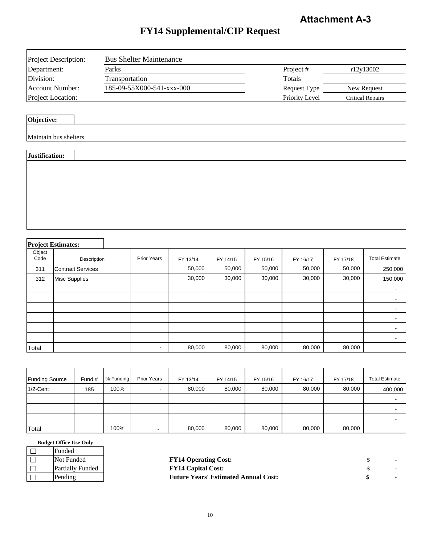# **FY14 Supplemental/CIP Request**

| Project Description:     | <b>Bus Shelter Maintenance</b> |                |                         |
|--------------------------|--------------------------------|----------------|-------------------------|
| Department:              | Parks                          | Project#       | r12y13002               |
| Division:                | <b>Transportation</b>          | Totals         |                         |
| Account Number:          | 185-09-55X000-541-xxx-000      | Request Type   | New Request             |
| <b>Project Location:</b> |                                | Priority Level | <b>Critical Repairs</b> |

## **Objective:**

| Justification: |  |
|----------------|--|
|                |  |

# **Project Estimates:**

ヿ

| Object<br>Code | Description              | Prior Years    | FY 13/14 | FY 14/15 | FY 15/16 | FY 16/17 | FY 17/18 | <b>Total Estimate</b> |
|----------------|--------------------------|----------------|----------|----------|----------|----------|----------|-----------------------|
| 311            | <b>Contract Services</b> |                | 50,000   | 50,000   | 50,000   | 50,000   | 50,000   | 250,000               |
| 312            | <b>Misc Supplies</b>     |                | 30,000   | 30,000   | 30,000   | 30,000   | 30,000   | 150,000               |
|                |                          |                |          |          |          |          |          |                       |
|                |                          |                |          |          |          |          |          |                       |
|                |                          |                |          |          |          |          |          |                       |
|                |                          |                |          |          |          |          |          |                       |
|                |                          |                |          |          |          |          |          |                       |
|                |                          |                |          |          |          |          |          |                       |
| Total          |                          | $\blacksquare$ | 80,000   | 80,000   | 80,000   | 80,000   | 80,000   |                       |

| <b>Funding Source</b> | Fund # | % Funding | <b>Prior Years</b> | FY 13/14 | FY 14/15 | FY 15/16 | FY 16/17 | FY 17/18 | <b>Total Estimate</b> |
|-----------------------|--------|-----------|--------------------|----------|----------|----------|----------|----------|-----------------------|
| $1/2$ -Cent           | 185    | 100%      | $\blacksquare$     | 80,000   | 80,000   | 80,000   | 80,000   | 80,000   | 400,000               |
|                       |        |           |                    |          |          |          |          |          |                       |
|                       |        |           |                    |          |          |          |          |          |                       |
|                       |        |           |                    |          |          |          |          |          |                       |
| Total                 |        | 100%      |                    | 80,000   | 80,000   | 80,000   | 80,000   | 80,000   |                       |

| <b>Budget Office Use Only</b> |  |  |
|-------------------------------|--|--|
|-------------------------------|--|--|

| Funded                  |
|-------------------------|
| Not Funded              |
| <b>Partially Funded</b> |
| Pending                 |

| Not Funded       | <b>FY14 Operating Cost:</b>                 |  |
|------------------|---------------------------------------------|--|
| Partially Funded | <b>FY14 Capital Cost:</b>                   |  |
| Pending          | <b>Future Years' Estimated Annual Cost:</b> |  |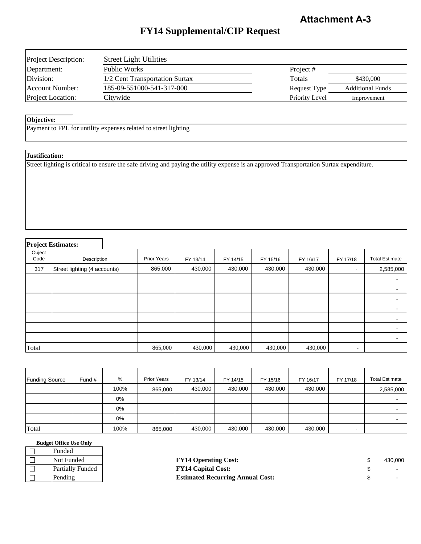# **FY14 Supplemental/CIP Request**

| <b>Project Description:</b> | <b>Street Light Utilities</b>  |                |                         |
|-----------------------------|--------------------------------|----------------|-------------------------|
| Department:                 | Public Works                   | Project #      |                         |
| Division:                   | 1/2 Cent Transportation Surtax | Totals         | \$430,000               |
| Account Number:             | 185-09-551000-541-317-000      | Request Type   | <b>Additional Funds</b> |
| <b>Project Location:</b>    | Citywide                       | Priority Level | Improvement             |

#### **Objective:**

Payment to FPL for untility expenses related to street lighting

#### **Justification:**

Street lighting is critical to ensure the safe driving and paying the utility expense is an approved Transportation Surtax expenditure.

#### **Project Estimates:** Object Code | Description | Prior Years | FY 13/14 | FY 14/15 | FY 15/16 | FY 16/17 | FY 17/18 | Total Estimate 317 865,000 430,000 430,000 430,000 430,000 - 2,585,000 Street lighting (4 accounts) - 100 minutes - 100 minutes - - 100 minutes - 100 minutes - - Total 865,000 430,000 430,000 430,000 430,000 - **2,585,000** Description

| <b>Funding Source</b> | Fund $#$ | %     | <b>Prior Years</b> | FY 13/14 | FY 14/15 | FY 15/16 | FY 16/17 | FY 17/18 | <b>Total Estimate</b> |
|-----------------------|----------|-------|--------------------|----------|----------|----------|----------|----------|-----------------------|
|                       |          | 100%  | 865,000            | 430,000  | 430,000  | 430,000  | 430,000  |          | 2,585,000             |
|                       |          | 0%    |                    |          |          |          |          |          |                       |
|                       |          | $0\%$ |                    |          |          |          |          |          |                       |
|                       |          | 0%    |                    |          |          |          |          |          |                       |
| Total                 |          | 100%  | 865,000            | 430,000  | 430,000  | 430,000  | 430,000  |          |                       |

#### **Budget Office Use Only**

 $\Box$  $\Box$  $\Box$  $\Box$ 

| Funded                  |                                         |         |
|-------------------------|-----------------------------------------|---------|
| Not Funded              | <b>FY14 Operating Cost:</b>             | 430.000 |
| <b>Partially Funded</b> | <b>FY14 Capital Cost:</b>               |         |
| Pending                 | <b>Estimated Recurring Annual Cost:</b> |         |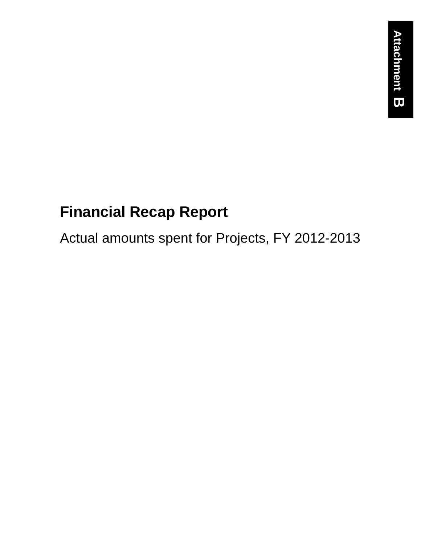# **Financial Recap Report**

Actual amounts spent for Projects, FY 2012-2013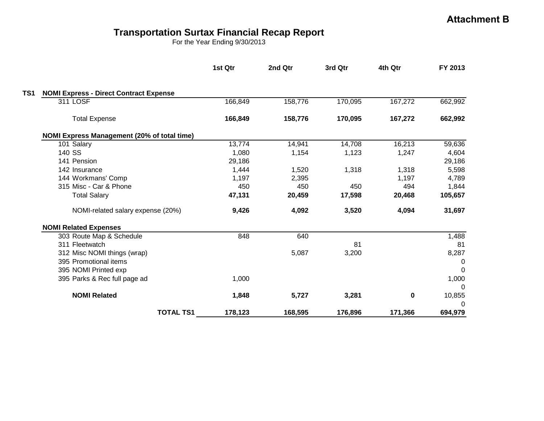## **Transportation Surtax Financial Recap Report**

For the Year Ending 9/30/2013

|                                               | 1st Qtr | 2nd Qtr | 3rd Qtr | 4th Qtr     | FY 2013  |
|-----------------------------------------------|---------|---------|---------|-------------|----------|
| <b>NOMI Express - Direct Contract Expense</b> |         |         |         |             |          |
| 311 LOSF                                      | 166,849 | 158,776 | 170,095 | 167,272     | 662,992  |
| <b>Total Expense</b>                          | 166,849 | 158,776 | 170,095 | 167,272     | 662,992  |
| NOMI Express Management (20% of total time)   |         |         |         |             |          |
| 101 Salary                                    | 13,774  | 14,941  | 14,708  | 16,213      | 59,636   |
| 140 SS                                        | 1,080   | 1,154   | 1,123   | 1,247       | 4,604    |
| 141 Pension                                   | 29,186  |         |         |             | 29,186   |
| 142 Insurance                                 | 1,444   | 1,520   | 1,318   | 1,318       | 5,598    |
| 144 Workmans' Comp                            | 1,197   | 2,395   |         | 1,197       | 4,789    |
| 315 Misc - Car & Phone                        | 450     | 450     | 450     | 494         | 1,844    |
| <b>Total Salary</b>                           | 47,131  | 20,459  | 17,598  | 20,468      | 105,657  |
| NOMI-related salary expense (20%)             | 9,426   | 4,092   | 3,520   | 4,094       | 31,697   |
| <b>NOMI Related Expenses</b>                  |         |         |         |             |          |
| 303 Route Map & Schedule                      | 848     | 640     |         |             | 1,488    |
| 311 Fleetwatch                                |         |         | 81      |             | 81       |
| 312 Misc NOMI things (wrap)                   |         | 5,087   | 3,200   |             | 8,287    |
| 395 Promotional items                         |         |         |         |             | 0        |
| 395 NOMI Printed exp                          |         |         |         |             | $\Omega$ |
| 395 Parks & Rec full page ad                  | 1,000   |         |         |             | 1,000    |
|                                               |         |         |         |             | $\Omega$ |
| <b>NOMI Related</b>                           | 1,848   | 5,727   | 3,281   | $\mathbf 0$ | 10,855   |
|                                               |         |         |         |             | 0        |
| <b>TOTAL TS1</b>                              | 178,123 | 168,595 | 176,896 | 171,366     | 694,979  |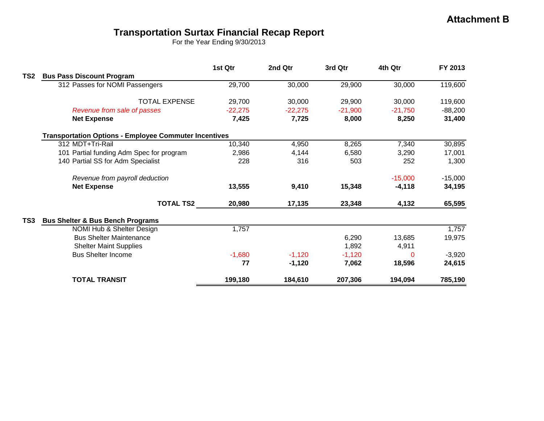# **Transportation Surtax Financial Recap Report**

For the Year Ending 9/30/2013

|                 |                                                              | 1st Qtr   | 2nd Qtr   | 3rd Qtr   | 4th Qtr   | FY 2013   |
|-----------------|--------------------------------------------------------------|-----------|-----------|-----------|-----------|-----------|
| TS <sub>2</sub> | <b>Bus Pass Discount Program</b>                             |           |           |           |           |           |
|                 | 312 Passes for NOMI Passengers                               | 29,700    | 30,000    | 29,900    | 30,000    | 119,600   |
|                 | <b>TOTAL EXPENSE</b>                                         | 29,700    | 30,000    | 29,900    | 30,000    | 119,600   |
|                 | Revenue from sale of passes                                  | $-22,275$ | $-22,275$ | $-21,900$ | $-21,750$ | $-88,200$ |
|                 | <b>Net Expense</b>                                           | 7,425     | 7,725     | 8,000     | 8,250     | 31,400    |
|                 | <b>Transportation Options - Employee Commuter Incentives</b> |           |           |           |           |           |
|                 | 312 MDT+Tri-Rail                                             | 10,340    | 4,950     | 8,265     | 7,340     | 30,895    |
|                 | 101 Partial funding Adm Spec for program                     | 2,986     | 4,144     | 6,580     | 3,290     | 17,001    |
|                 | 140 Partial SS for Adm Specialist                            | 228       | 316       | 503       | 252       | 1,300     |
|                 | Revenue from payroll deduction                               |           |           |           | $-15,000$ | $-15,000$ |
|                 | <b>Net Expense</b>                                           | 13,555    | 9,410     | 15,348    | $-4,118$  | 34,195    |
|                 | <b>TOTAL TS2</b>                                             | 20,980    | 17,135    | 23,348    | 4,132     | 65,595    |
| TS <sub>3</sub> | <b>Bus Shelter &amp; Bus Bench Programs</b>                  |           |           |           |           |           |
|                 | NOMI Hub & Shelter Design                                    | 1,757     |           |           |           | 1,757     |
|                 | <b>Bus Shelter Maintenance</b>                               |           |           | 6,290     | 13,685    | 19,975    |
|                 | <b>Shelter Maint Supplies</b>                                |           |           | 1,892     | 4,911     |           |
|                 | <b>Bus Shelter Income</b>                                    | $-1,680$  | $-1,120$  | $-1,120$  | 0         | $-3,920$  |
|                 |                                                              | 77        | $-1,120$  | 7,062     | 18,596    | 24,615    |
|                 | <b>TOTAL TRANSIT</b>                                         | 199,180   | 184,610   | 207,306   | 194,094   | 785,190   |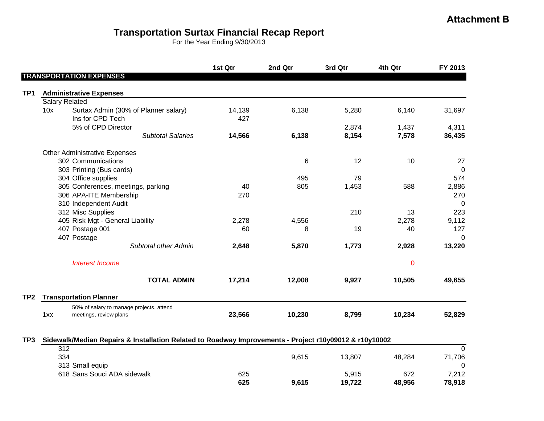# **Transportation Surtax Financial Recap Report**

For the Year Ending 9/30/2013

|                 |     |                                                                    | 1st Qtr       | 2nd Qtr | 3rd Qtr | 4th Qtr     | FY 2013        |
|-----------------|-----|--------------------------------------------------------------------|---------------|---------|---------|-------------|----------------|
|                 |     | <b>TRANSPORTATION EXPENSES</b>                                     |               |         |         |             |                |
| TP1             |     | <b>Administrative Expenses</b>                                     |               |         |         |             |                |
|                 |     | <b>Salary Related</b>                                              |               |         |         |             |                |
|                 | 10x | Surtax Admin (30% of Planner salary)<br>Ins for CPD Tech           | 14,139<br>427 | 6,138   | 5,280   | 6,140       | 31,697         |
|                 |     | 5% of CPD Director                                                 |               |         | 2,874   | 1,437       | 4,311          |
|                 |     | <b>Subtotal Salaries</b>                                           | 14,566        | 6,138   | 8,154   | 7,578       | 36,435         |
|                 |     | <b>Other Administrative Expenses</b>                               |               |         |         |             |                |
|                 |     | 302 Communications                                                 |               | 6       | 12      | 10          | 27             |
|                 |     | 303 Printing (Bus cards)                                           |               |         |         |             | $\overline{0}$ |
|                 |     | 304 Office supplies                                                |               | 495     | 79      |             | 574            |
|                 |     | 305 Conferences, meetings, parking                                 | 40            | 805     | 1,453   | 588         | 2,886          |
|                 |     | 306 APA-ITE Membership                                             | 270           |         |         |             | 270            |
|                 |     | 310 Independent Audit                                              |               |         |         |             | $\mathbf 0$    |
|                 |     | 312 Misc Supplies                                                  |               |         | 210     | 13          | 223            |
|                 |     | 405 Risk Mgt - General Liability                                   | 2,278         | 4,556   |         | 2,278       | 9,112          |
|                 |     | 407 Postage 001                                                    | 60            | 8       | 19      | 40          | 127            |
|                 |     | 407 Postage                                                        |               |         |         |             | $\Omega$       |
|                 |     | Subtotal other Admin                                               | 2,648         | 5,870   | 1,773   | 2,928       | 13,220         |
|                 |     | <b>Interest Income</b>                                             |               |         |         | $\mathbf 0$ |                |
|                 |     | <b>TOTAL ADMIN</b>                                                 | 17,214        | 12,008  | 9,927   | 10,505      | 49,655         |
| TP <sub>2</sub> |     | <b>Transportation Planner</b>                                      |               |         |         |             |                |
|                 | 1xx | 50% of salary to manage projects, attend<br>meetings, review plans | 23,566        | 10,230  | 8,799   | 10,234      | 52,829         |

#### **TP3 Sidewalk/Median Repairs & Installation Related to Roadway Improvements - Project r10y09012 & r10y10002**

|                             | 625 | 9,615 | 19.722 | 48,956 | 78,918      |
|-----------------------------|-----|-------|--------|--------|-------------|
| 618 Sans Souci ADA sidewalk | 625 |       | 5.915  | 672    | 7,212       |
| 313 Small equip             |     |       |        |        |             |
| 334                         |     | 9.615 | 13.807 | 48.284 | 1,706<br>71 |
| 312                         |     |       |        |        |             |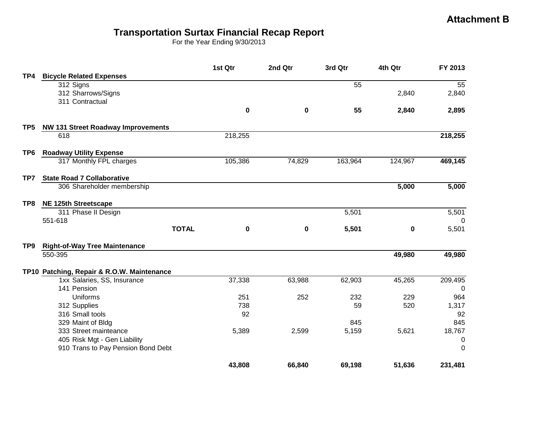### **Transportation Surtax Financial Recap Report**

For the Year Ending 9/30/2013

|                 |                                            | 1st Qtr   | 2nd Qtr     | 3rd Qtr | 4th Qtr  | FY 2013        |
|-----------------|--------------------------------------------|-----------|-------------|---------|----------|----------------|
| TP4             | <b>Bicycle Related Expenses</b>            |           |             |         |          |                |
|                 | 312 Signs                                  |           |             | 55      |          | 55             |
|                 | 312 Sharrows/Signs                         |           |             |         | 2,840    | 2,840          |
|                 | 311 Contractual                            |           |             |         |          |                |
|                 |                                            | $\pmb{0}$ | 0           | 55      | 2,840    | 2,895          |
| TP5             | <b>NW 131 Street Roadway Improvements</b>  |           |             |         |          |                |
|                 | 618                                        | 218,255   |             |         |          | 218,255        |
| TP <sub>6</sub> | <b>Roadway Utility Expense</b>             |           |             |         |          |                |
|                 | 317 Monthly FPL charges                    | 105,386   | 74,829      | 163,964 | 124,967  | 469,145        |
| TP7             | <b>State Road 7 Collaborative</b>          |           |             |         |          |                |
|                 | 306 Shareholder membership                 |           |             |         | 5,000    | 5,000          |
| TP8             | NE 125th Streetscape                       |           |             |         |          |                |
|                 | 311 Phase II Design                        |           |             | 5,501   |          | 5,501          |
|                 | 551-618                                    |           |             |         |          | 0              |
|                 | <b>TOTAL</b>                               | 0         | $\mathbf 0$ | 5,501   | $\bf{0}$ | 5,501          |
| TP9             | <b>Right-of-Way Tree Maintenance</b>       |           |             |         |          |                |
|                 | 550-395                                    |           |             |         | 49,980   | 49,980         |
|                 | TP10 Patching, Repair & R.O.W. Maintenance |           |             |         |          |                |
|                 | 1xx Salaries, SS, Insurance                | 37,338    | 63,988      | 62,903  | 45,265   | 209,495        |
|                 | 141 Pension                                |           |             |         |          | $\overline{0}$ |
|                 | Uniforms                                   | 251       | 252         | 232     | 229      | 964            |
|                 | 312 Supplies                               | 738       |             | 59      | 520      | 1,317          |
|                 | 316 Small tools                            | 92        |             |         |          | 92             |
|                 | 329 Maint of Bldg                          |           |             | 845     |          | 845            |
|                 | 333 Street mainteance                      | 5,389     | 2,599       | 5,159   | 5,621    | 18,767         |
|                 | 405 Risk Mgt - Gen Liability               |           |             |         |          | 0              |
|                 | 910 Trans to Pay Pension Bond Debt         |           |             |         |          | 0              |
|                 |                                            | 43,808    | 66,840      | 69,198  | 51,636   | 231,481        |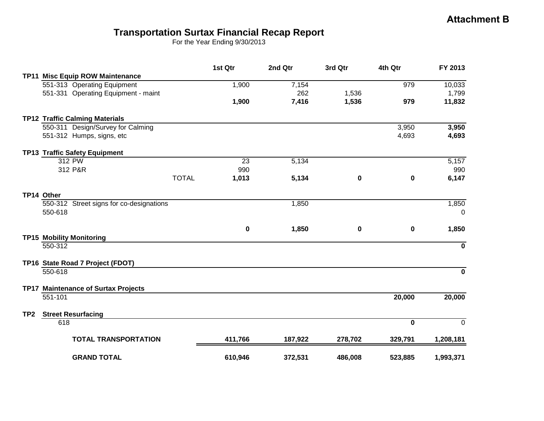## **Transportation Surtax Financial Recap Report**

For the Year Ending 9/30/2013

|                 |                                          | 1st Qtr     | 2nd Qtr | 3rd Qtr | 4th Qtr     | FY 2013     |
|-----------------|------------------------------------------|-------------|---------|---------|-------------|-------------|
|                 | TP11 Misc Equip ROW Maintenance          |             |         |         |             |             |
|                 | 551-313 Operating Equipment              | 1,900       | 7,154   |         | 979         | 10,033      |
|                 | 551-331 Operating Equipment - maint      |             | 262     | 1,536   |             | 1,799       |
|                 |                                          | 1,900       | 7,416   | 1,536   | 979         | 11,832      |
|                 | <b>TP12 Traffic Calming Materials</b>    |             |         |         |             |             |
|                 | 550-311 Design/Survey for Calming        |             |         |         | 3,950       | 3,950       |
|                 | 551-312 Humps, signs, etc                |             |         |         | 4,693       | 4,693       |
|                 | <b>TP13 Traffic Safety Equipment</b>     |             |         |         |             |             |
|                 | 312 PW                                   | 23          | 5,134   |         |             | 5,157       |
|                 | 312 P&R                                  | 990         |         |         |             | 990         |
|                 | <b>TOTAL</b>                             | 1,013       | 5,134   | 0       | $\mathbf 0$ | 6,147       |
|                 | TP14 Other                               |             |         |         |             |             |
|                 | 550-312 Street signs for co-designations |             | 1,850   |         |             | 1,850       |
|                 | 550-618                                  |             |         |         |             | 0           |
|                 |                                          | $\mathbf 0$ | 1,850   | 0       | $\mathbf 0$ | 1,850       |
|                 | <b>TP15 Mobility Monitoring</b>          |             |         |         |             |             |
|                 | 550-312                                  |             |         |         |             | $\mathbf 0$ |
|                 | TP16 State Road 7 Project (FDOT)         |             |         |         |             |             |
|                 | 550-618                                  |             |         |         |             | $\mathbf 0$ |
|                 | TP17 Maintenance of Surtax Projects      |             |         |         |             |             |
|                 | 551-101                                  |             |         |         | 20,000      | 20,000      |
| TP <sub>2</sub> | <b>Street Resurfacing</b>                |             |         |         |             |             |
|                 | 618                                      |             |         |         | $\bf{0}$    | $\mathbf 0$ |
|                 | <b>TOTAL TRANSPORTATION</b>              | 411,766     | 187,922 | 278,702 | 329,791     | 1,208,181   |
|                 |                                          |             |         |         |             |             |
|                 | <b>GRAND TOTAL</b>                       | 610,946     | 372,531 | 486,008 | 523,885     | 1,993,371   |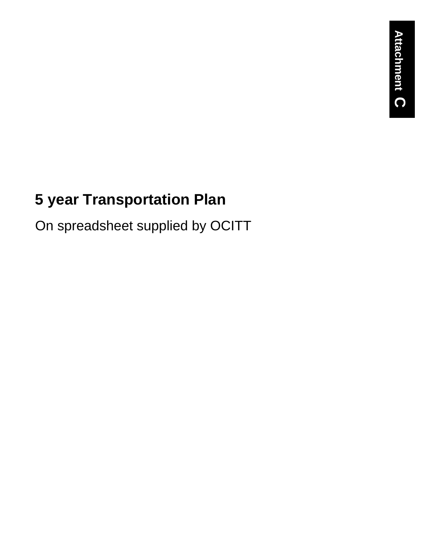# **5 year Transportation Plan**

On spreadsheet supplied by OCITT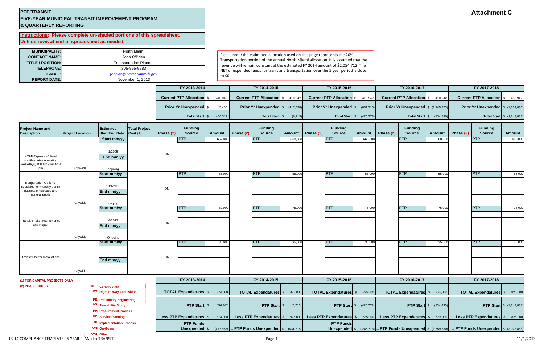### **PTP/TRANSIT FIVE-YEAR MUNICIPAL TRANSIT IMPROVEMENT PROGRAM & QUARTERLY REPORTING**

**Instructions: Please complete un-shaded portions of this spreadsheet. Unhide rows at end of spreadsheet as needed.**

| <b>MUNICIPALITY:</b>     | North Miami                   |  |  |  |  |  |
|--------------------------|-------------------------------|--|--|--|--|--|
| <b>CONTACT NAME:</b>     | John O'Brien                  |  |  |  |  |  |
| <b>TITLE / POSITION:</b> | <b>Transportation Planner</b> |  |  |  |  |  |
| <b>TELEPHONE:</b>        | 305-895-9883                  |  |  |  |  |  |
| E-MAIL:                  | jobrien@northmiamifl.gov      |  |  |  |  |  |
| <b>REPORT DATE:</b>      | November 1, 2013              |  |  |  |  |  |

Please note: the estimated allocation used on this page represents the 20% Transportation portion of the annual North Miami allocation. It is assumed that the revenue will remain constant at the estimated FY 2014 amount of \$2,054,712. The NET unexpended funds for tranit and transportation over the 5 year period is close to \$0.

| <b>REPORT DATE:</b>                                                      |                         |                                                                  | November 1, 2013                |           |                                  |         |           |                                                            |               |              |                                         |                                 |              |                                            |                                  |           |                                                                                                                |                                   |
|--------------------------------------------------------------------------|-------------------------|------------------------------------------------------------------|---------------------------------|-----------|----------------------------------|---------|-----------|------------------------------------------------------------|---------------|--------------|-----------------------------------------|---------------------------------|--------------|--------------------------------------------|----------------------------------|-----------|----------------------------------------------------------------------------------------------------------------|-----------------------------------|
|                                                                          |                         |                                                                  |                                 |           | FY 2013-2014                     |         |           | FY 2014-2015                                               |               | FY 2015-2016 |                                         |                                 | FY 2016-2017 |                                            |                                  |           | FY 2017-2018                                                                                                   |                                   |
|                                                                          |                         |                                                                  |                                 |           | <b>Current PTP Allocation \$</b> | 410,942 |           | <b>Current PTP Allocation</b> \$410,942                    |               |              | <b>Current PTP Allocation \$</b>        | 410,942                         |              | <b>Current PTP Allocation</b> \$410,942    |                                  |           | <b>Current PTP Allocation</b> \$410,942                                                                        |                                   |
|                                                                          |                         |                                                                  |                                 |           | <b>Prior Yr Unexpended</b> \$    | 45,400  |           | Prior Yr Unexpended \$ (417,658)                           |               |              | <b>Prior Yr Unexpended</b> \$ (831,715) |                                 |              | <b>Prior Yr Unexpended</b> $$ (1,245,773)$ |                                  |           | Prior Yr Unexpended   \$ (1,659,830)                                                                           |                                   |
|                                                                          |                         |                                                                  |                                 |           | Total Start \$                   | 456,342 |           | Total Start \$                                             | (6, 715)      |              |                                         | <b>Total Start</b> \$ (420,773) |              |                                            | <b>Total Start</b> $$$ (834,830) |           |                                                                                                                | <b>Total Start</b> \$ (1,248,888) |
| <b>Project Name and</b><br><b>Description</b>                            | <b>Project Location</b> | <b>Estimated</b><br><b>Start/End Date</b>                        | <b>Total Project</b><br>Cost(1) | Phase (2) | <b>Funding</b><br><b>Source</b>  | Amount  | Phase (2) | <b>Funding</b><br><b>Source</b>                            | <b>Amount</b> | Phase (2)    | <b>Funding</b><br><b>Source</b>         | <b>Amount</b>                   | Phase (2)    | <b>Funding</b><br><b>Source</b>            | <b>Amount</b>                    | Phase (2) | <b>Funding</b><br><b>Source</b>                                                                                | <b>Amount</b>                     |
|                                                                          |                         | Start mm/yy                                                      |                                 |           | PTP.                             | 659,000 |           | PTP.                                                       | 660,000       |              | PTP.                                    | 660,00                          |              | IPTP.                                      | 660,00                           |           | IPTP.                                                                                                          | 660,000                           |
| NOMI Express - 5 fixed                                                   |                         | 1/2005<br>End mm/yy                                              |                                 | ON        |                                  |         |           |                                                            |               |              |                                         |                                 |              |                                            |                                  |           |                                                                                                                |                                   |
| shuttle routes operating<br>veekdays, at least 7 am to 8                 |                         |                                                                  |                                 |           |                                  |         |           |                                                            |               |              |                                         |                                 |              |                                            |                                  |           |                                                                                                                |                                   |
| pm                                                                       | Citywide                | ongoing<br>Start mm/yy                                           |                                 |           | PTP.                             | 55,000  |           | <b>PTP</b>                                                 | 55,000        |              | PTP.                                    | 55,000                          |              | IPTP.                                      | 55,00                            |           | <b>IPTP</b>                                                                                                    | 55,000                            |
| <b>Tranportation Options -</b>                                           |                         |                                                                  |                                 |           |                                  |         |           |                                                            |               |              |                                         |                                 |              |                                            |                                  |           |                                                                                                                |                                   |
| subsidies for monthly transit<br>passes, employees and<br>general public |                         | 10/1/2009<br>End mm/yy                                           |                                 | ON        |                                  |         |           |                                                            |               |              |                                         |                                 |              |                                            |                                  |           |                                                                                                                |                                   |
|                                                                          | Citywide                | onging                                                           |                                 |           |                                  |         |           |                                                            |               |              |                                         |                                 |              |                                            |                                  |           |                                                                                                                |                                   |
|                                                                          |                         | Start mm/yy                                                      |                                 |           | <b>PTP</b>                       | 80,000  |           | <b>PTP</b>                                                 | 75,000        |              | <b>PTP</b>                              | 75,000                          |              | <b>PTP</b>                                 | 75,000                           |           | <b>IPTP</b>                                                                                                    | 75,000                            |
| <b>Transit Shelter Maintenance</b>                                       |                         | 4/2013                                                           |                                 | ON        |                                  |         |           |                                                            |               |              |                                         |                                 |              |                                            |                                  |           |                                                                                                                |                                   |
| and Repair                                                               |                         | End mm/yy                                                        |                                 |           |                                  |         |           |                                                            |               |              |                                         |                                 |              |                                            |                                  |           |                                                                                                                |                                   |
|                                                                          | Citywide                | Ongoing                                                          |                                 |           |                                  |         |           |                                                            |               |              |                                         |                                 |              |                                            |                                  |           |                                                                                                                |                                   |
|                                                                          |                         | Start mm/yy                                                      |                                 |           | PTP                              | 80,000  |           | PTP                                                        | 35,000        |              | <b>PTP</b>                              | 35,000                          |              | <b>PTP</b>                                 | 35,00                            |           | <b>PTP</b>                                                                                                     | 35,000                            |
| <b>Transit Shelter Installations</b>                                     |                         |                                                                  |                                 | ON        |                                  |         |           |                                                            |               |              |                                         |                                 |              |                                            |                                  |           |                                                                                                                |                                   |
|                                                                          |                         | End mm/yy                                                        |                                 |           |                                  |         |           |                                                            |               |              |                                         |                                 |              |                                            |                                  |           |                                                                                                                |                                   |
|                                                                          | Citywide                |                                                                  |                                 |           |                                  |         |           |                                                            |               |              |                                         |                                 |              |                                            |                                  |           |                                                                                                                |                                   |
| (1) FOR CAPITAL PROJECTS ONLY                                            |                         |                                                                  |                                 |           | FY 2013-2014                     |         |           | FY 2014-2015                                               |               |              | FY 2015-2016                            |                                 |              | FY 2016-2017                               |                                  |           | FY 2017-2018                                                                                                   |                                   |
| (2) PHASE CODES:                                                         |                         | <b>CST: Construction</b><br><b>ROW: Right of Way Acquisition</b> |                                 |           | <b>TOTAL Expendatures</b> \$     | 874,000 |           | TOTAL Expendatures \$825,000                               |               |              | TOTAL Expendatures \$ 825,000           |                                 |              | TOTAL Expendatures \$ 825,000              |                                  |           | TOTAL Expendatures \$825,000                                                                                   |                                   |
|                                                                          |                         | <b>PE: Preliminary Engineering</b><br>FS: Feasability Study      |                                 |           | <b>PTP Start</b> \$              | 456,342 |           | <b>PTP Start</b> \$                                        | (6, 715)      |              |                                         | <b>PTP Start</b> \$ (420,773)   |              |                                            | <b>PTP Start</b> \$ (834,830)    |           |                                                                                                                | <b>PTP Start</b> \$ (1,248,888)   |
|                                                                          |                         | <b>PP: Procurement Process</b><br><b>SP: Service Planning</b>    |                                 |           | <b>Less PTP Expendatures</b> \$  | 874,000 |           | Less PTP Expendatures \$ 825,000                           |               |              | Less PTP Expendatures \$                | 825,000                         |              | Less PTP Expendatures \$825,000            |                                  |           | Less PTP Expendatures \$825,000                                                                                |                                   |
|                                                                          |                         | <b>IP: Implementation Process</b><br>ON: On-Going                |                                 |           | $=$ PTP Funds<br>Unexpended \$   |         |           | $(417,658)$ = PTP Funds Unexpended $\frac{1}{2}$ (831,715) |               |              | $=$ PTP Funds                           |                                 |              |                                            |                                  |           | Unexpended $\sin(1.245.773)$ = PTP Funds Unexpended $\sin(1.659.830)$ = PTP Funds Unexpended $\sin(2.073.888)$ |                                   |

**OTH: Other**

13‐14 COMPLIANCE TEMPLATE ‐ 5 YEARPLAN.xlsx TRANSIT Page 1 11/1/2013

# **Attachment C**